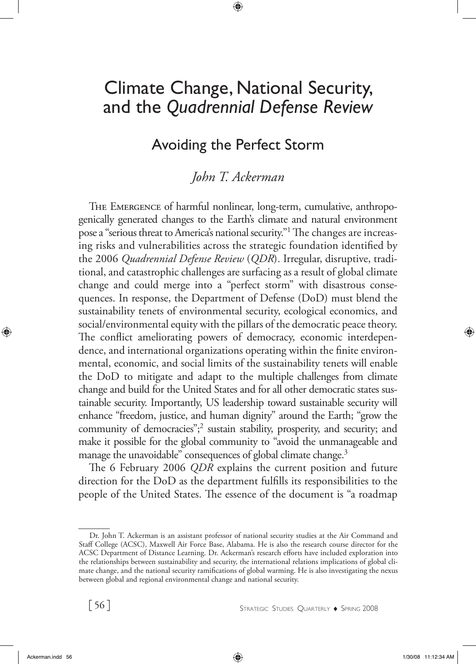# Climate Change, National Security, and the *Quadrennial Defense Review*

# Avoiding the Perfect Storm

## *John T. Ackerman*

THE EMERGENCE of harmful nonlinear, long-term, cumulative, anthropogenically generated changes to the Earth's climate and natural environment pose a "serious threat to America's national security."<sup>1</sup> The changes are increasing risks and vulnerabilities across the strategic foundation identified by the 2006 *Quadrennial Defense Review* (*QDR*). Irregular, disruptive, traditional, and catastrophic challenges are surfacing as a result of global climate change and could merge into a "perfect storm" with disastrous consequences. In response, the Department of Defense (DoD) must blend the sustainability tenets of environmental security, ecological economics, and social/environmental equity with the pillars of the democratic peace theory. The conflict ameliorating powers of democracy, economic interdependence, and international organizations operating within the finite environmental, economic, and social limits of the sustainability tenets will enable the DoD to mitigate and adapt to the multiple challenges from climate change and build for the United States and for all other democratic states sustainable security. Importantly, US leadership toward sustainable security will enhance "freedom, justice, and human dignity" around the Earth; "grow the community of democracies";<sup>2</sup> sustain stability, prosperity, and security; and make it possible for the global community to "avoid the unmanageable and manage the unavoidable" consequences of global climate change.<sup>3</sup>

The 6 February 2006 *QDR* explains the current position and future direction for the DoD as the department fulfills its responsibilities to the people of the United States. The essence of the document is "a roadmap

Dr. John T. Ackerman is an assistant professor of national security studies at the Air Command and Staff College (ACSC), Maxwell Air Force Base, Alabama. He is also the research course director for the ACSC Department of Distance Learning. Dr. Ackerman's research efforts have included exploration into the relationships between sustainability and security, the international relations implications of global climate change, and the national security ramifications of global warming. He is also investigating the nexus between global and regional environmental change and national security.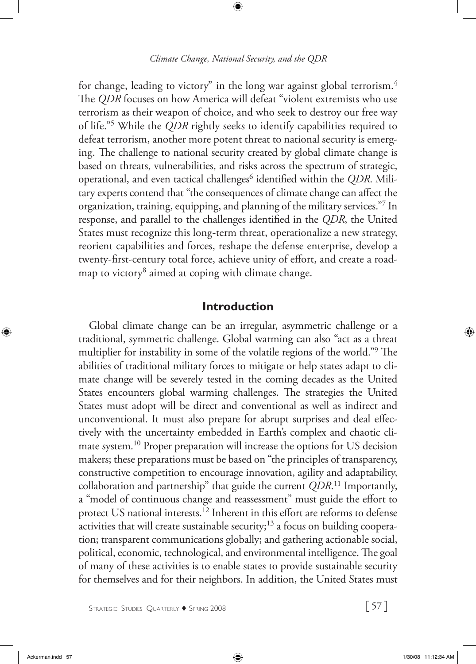for change, leading to victory" in the long war against global terrorism.<sup>4</sup> The *QDR* focuses on how America will defeat "violent extremists who use terrorism as their weapon of choice, and who seek to destroy our free way of life."5 While the *QDR* rightly seeks to identify capabilities required to defeat terrorism, another more potent threat to national security is emerging. The challenge to national security created by global climate change is based on threats, vulnerabilities, and risks across the spectrum of strategic, operational, and even tactical challenges<sup>6</sup> identified within the *QDR*. Military experts contend that "the consequences of climate change can affect the organization, training, equipping, and planning of the military services."7 In response, and parallel to the challenges identified in the *QDR*, the United States must recognize this long-term threat, operationalize a new strategy, reorient capabilities and forces, reshape the defense enterprise, develop a twenty-first-century total force, achieve unity of effort, and create a roadmap to victory<sup>8</sup> aimed at coping with climate change.

### **Introduction**

Global climate change can be an irregular, asymmetric challenge or a traditional, symmetric challenge. Global warming can also "act as a threat multiplier for instability in some of the volatile regions of the world."9 The abilities of traditional military forces to mitigate or help states adapt to climate change will be severely tested in the coming decades as the United States encounters global warming challenges. The strategies the United States must adopt will be direct and conventional as well as indirect and unconventional. It must also prepare for abrupt surprises and deal effectively with the uncertainty embedded in Earth's complex and chaotic climate system.10 Proper preparation will increase the options for US decision makers; these preparations must be based on "the principles of transparency, constructive competition to encourage innovation, agility and adaptability, collaboration and partnership" that guide the current *QDR*. 11 Importantly, a "model of continuous change and reassessment" must guide the effort to protect US national interests.12 Inherent in this effort are reforms to defense activities that will create sustainable security;<sup>13</sup> a focus on building cooperation; transparent communications globally; and gathering actionable social, political, economic, technological, and environmental intelligence. The goal of many of these activities is to enable states to provide sustainable security for themselves and for their neighbors. In addition, the United States must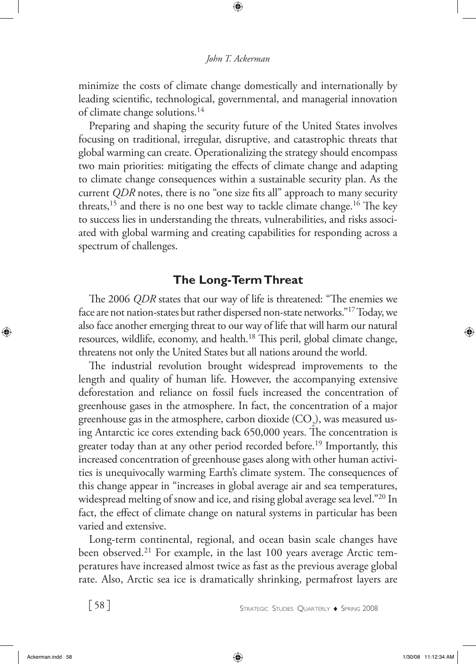minimize the costs of climate change domestically and internationally by leading scientific, technological, governmental, and managerial innovation of climate change solutions.<sup>14</sup>

Preparing and shaping the security future of the United States involves focusing on traditional, irregular, disruptive, and catastrophic threats that global warming can create. Operationalizing the strategy should encompass two main priorities: mitigating the effects of climate change and adapting to climate change consequences within a sustainable security plan. As the current *QDR* notes, there is no "one size fits all" approach to many security threats,<sup>15</sup> and there is no one best way to tackle climate change.<sup>16</sup> The key to success lies in understanding the threats, vulnerabilities, and risks associated with global warming and creating capabilities for responding across a spectrum of challenges.

### **The Long-Term Threat**

The 2006 *QDR* states that our way of life is threatened: "The enemies we face are not nation-states but rather dispersed non-state networks."17 Today, we also face another emerging threat to our way of life that will harm our natural resources, wildlife, economy, and health.<sup>18</sup> This peril, global climate change, threatens not only the United States but all nations around the world.

The industrial revolution brought widespread improvements to the length and quality of human life. However, the accompanying extensive deforestation and reliance on fossil fuels increased the concentration of greenhouse gases in the atmosphere. In fact, the concentration of a major greenhouse gas in the atmosphere, carbon dioxide (CO<sub>2</sub>), was measured using Antarctic ice cores extending back 650,000 years. The concentration is greater today than at any other period recorded before.<sup>19</sup> Importantly, this increased concentration of greenhouse gases along with other human activities is unequivocally warming Earth's climate system. The consequences of this change appear in "increases in global average air and sea temperatures, widespread melting of snow and ice, and rising global average sea level."20 In fact, the effect of climate change on natural systems in particular has been varied and extensive.

Long-term continental, regional, and ocean basin scale changes have been observed.<sup>21</sup> For example, in the last 100 years average Arctic temperatures have increased almost twice as fast as the previous average global rate. Also, Arctic sea ice is dramatically shrinking, permafrost layers are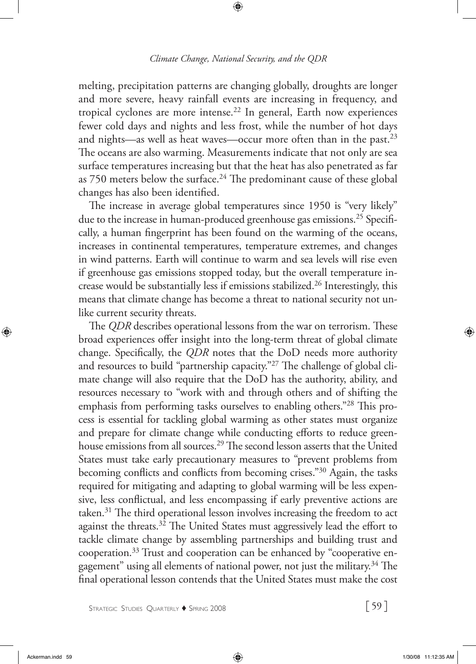melting, precipitation patterns are changing globally, droughts are longer and more severe, heavy rainfall events are increasing in frequency, and tropical cyclones are more intense.<sup>22</sup> In general, Earth now experiences fewer cold days and nights and less frost, while the number of hot days and nights—as well as heat waves—occur more often than in the past.<sup>23</sup> The oceans are also warming. Measurements indicate that not only are sea surface temperatures increasing but that the heat has also penetrated as far as 750 meters below the surface.<sup>24</sup> The predominant cause of these global changes has also been identified.

The increase in average global temperatures since 1950 is "very likely" due to the increase in human-produced greenhouse gas emissions.<sup>25</sup> Specifically, a human fingerprint has been found on the warming of the oceans, increases in continental temperatures, temperature extremes, and changes in wind patterns. Earth will continue to warm and sea levels will rise even if greenhouse gas emissions stopped today, but the overall temperature increase would be substantially less if emissions stabilized.26 Interestingly, this means that climate change has become a threat to national security not unlike current security threats.

The *QDR* describes operational lessons from the war on terrorism. These broad experiences offer insight into the long-term threat of global climate change. Specifically, the *QDR* notes that the DoD needs more authority and resources to build "partnership capacity."27 The challenge of global climate change will also require that the DoD has the authority, ability, and resources necessary to "work with and through others and of shifting the emphasis from performing tasks ourselves to enabling others."28 This process is essential for tackling global warming as other states must organize and prepare for climate change while conducting efforts to reduce greenhouse emissions from all sources.<sup>29</sup> The second lesson asserts that the United States must take early precautionary measures to "prevent problems from becoming conflicts and conflicts from becoming crises."30 Again, the tasks required for mitigating and adapting to global warming will be less expensive, less conflictual, and less encompassing if early preventive actions are taken.<sup>31</sup> The third operational lesson involves increasing the freedom to act against the threats.<sup>32</sup> The United States must aggressively lead the effort to tackle climate change by assembling partnerships and building trust and cooperation.33 Trust and cooperation can be enhanced by "cooperative engagement" using all elements of national power, not just the military.34 The final operational lesson contends that the United States must make the cost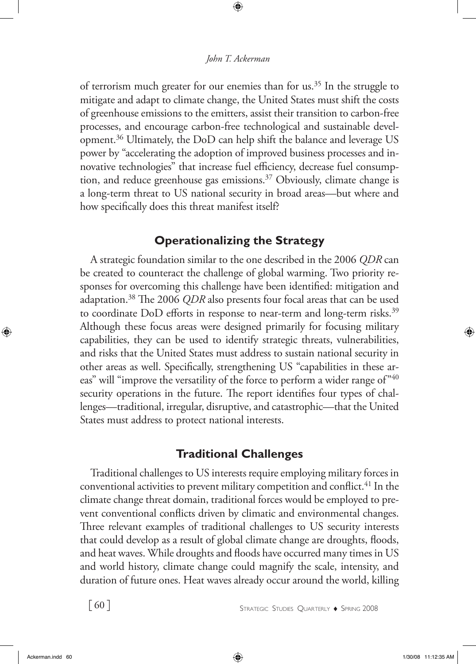of terrorism much greater for our enemies than for us.<sup>35</sup> In the struggle to mitigate and adapt to climate change, the United States must shift the costs of greenhouse emissions to the emitters, assist their transition to carbon-free processes, and encourage carbon-free technological and sustainable development.36 Ultimately, the DoD can help shift the balance and leverage US power by "accelerating the adoption of improved business processes and innovative technologies" that increase fuel efficiency, decrease fuel consumption, and reduce greenhouse gas emissions.37 Obviously, climate change is a long-term threat to US national security in broad areas—but where and how specifically does this threat manifest itself?

## **Operationalizing the Strategy**

A strategic foundation similar to the one described in the 2006 *QDR* can be created to counteract the challenge of global warming. Two priority responses for overcoming this challenge have been identified: mitigation and adaptation.38 The 2006 *QDR* also presents four focal areas that can be used to coordinate DoD efforts in response to near-term and long-term risks.<sup>39</sup> Although these focus areas were designed primarily for focusing military capabilities, they can be used to identify strategic threats, vulnerabilities, and risks that the United States must address to sustain national security in other areas as well. Specifically, strengthening US "capabilities in these areas" will "improve the versatility of the force to perform a wider range of"40 security operations in the future. The report identifies four types of challenges—traditional, irregular, disruptive, and catastrophic—that the United States must address to protect national interests.

## **Traditional Challenges**

Traditional challenges to US interests require employing military forces in conventional activities to prevent military competition and conflict.<sup>41</sup> In the climate change threat domain, traditional forces would be employed to prevent conventional conflicts driven by climatic and environmental changes. Three relevant examples of traditional challenges to US security interests that could develop as a result of global climate change are droughts, floods, and heat waves. While droughts and floods have occurred many times in US and world history, climate change could magnify the scale, intensity, and duration of future ones. Heat waves already occur around the world, killing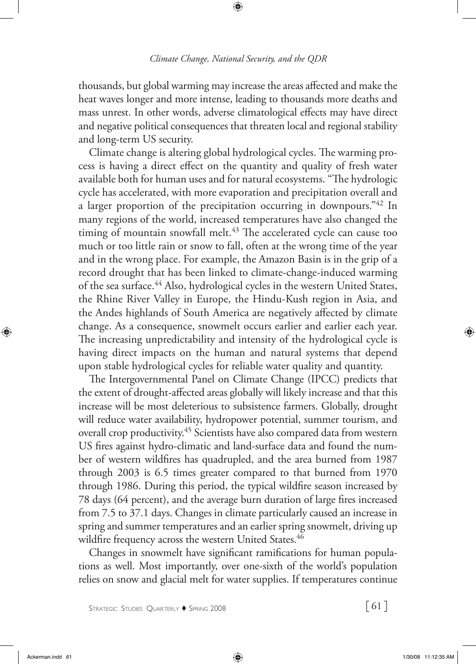thousands, but global warming may increase the areas affected and make the heat waves longer and more intense, leading to thousands more deaths and mass unrest. In other words, adverse climatological effects may have direct and negative political consequences that threaten local and regional stability and long-term US security.

Climate change is altering global hydrological cycles. The warming process is having a direct effect on the quantity and quality of fresh water available both for human uses and for natural ecosystems. "The hydrologic cycle has accelerated, with more evaporation and precipitation overall and a larger proportion of the precipitation occurring in downpours."42 In many regions of the world, increased temperatures have also changed the timing of mountain snowfall melt.<sup>43</sup> The accelerated cycle can cause too much or too little rain or snow to fall, often at the wrong time of the year and in the wrong place. For example, the Amazon Basin is in the grip of a record drought that has been linked to climate-change-induced warming of the sea surface.<sup>44</sup> Also, hydrological cycles in the western United States, the Rhine River Valley in Europe, the Hindu-Kush region in Asia, and the Andes highlands of South America are negatively affected by climate change. As a consequence, snowmelt occurs earlier and earlier each year. The increasing unpredictability and intensity of the hydrological cycle is having direct impacts on the human and natural systems that depend upon stable hydrological cycles for reliable water quality and quantity.

The Intergovernmental Panel on Climate Change (IPCC) predicts that the extent of drought-affected areas globally will likely increase and that this increase will be most deleterious to subsistence farmers. Globally, drought will reduce water availability, hydropower potential, summer tourism, and overall crop productivity.<sup>45</sup> Scientists have also compared data from western US fires against hydro-climatic and land-surface data and found the number of western wildfires has quadrupled, and the area burned from 1987 through 2003 is 6.5 times greater compared to that burned from 1970 through 1986. During this period, the typical wildfire season increased by 78 days (64 percent), and the average burn duration of large fires increased from 7.5 to 37.1 days. Changes in climate particularly caused an increase in spring and summer temperatures and an earlier spring snowmelt, driving up wildfire frequency across the western United States.<sup>46</sup>

Changes in snowmelt have significant ramifications for human populations as well. Most importantly, over one-sixth of the world's population relies on snow and glacial melt for water supplies. If temperatures continue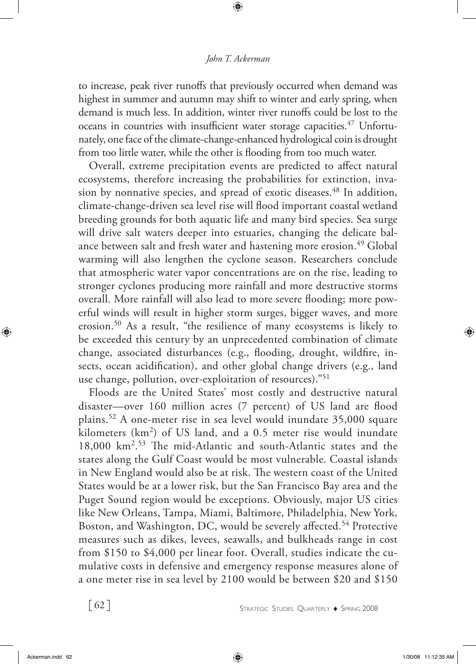#### *John T. Ackerman*

to increase, peak river runoffs that previously occurred when demand was highest in summer and autumn may shift to winter and early spring, when demand is much less. In addition, winter river runoffs could be lost to the oceans in countries with insufficient water storage capacities.<sup>47</sup> Unfortunately, one face of the climate-change-enhanced hydrological coin is drought from too little water, while the other is flooding from too much water.

Overall, extreme precipitation events are predicted to affect natural ecosystems, therefore increasing the probabilities for extinction, invasion by nonnative species, and spread of exotic diseases.<sup>48</sup> In addition, climate-change-driven sea level rise will flood important coastal wetland breeding grounds for both aquatic life and many bird species. Sea surge will drive salt waters deeper into estuaries, changing the delicate balance between salt and fresh water and hastening more erosion.<sup>49</sup> Global warming will also lengthen the cyclone season. Researchers conclude that atmospheric water vapor concentrations are on the rise, leading to stronger cyclones producing more rainfall and more destructive storms overall. More rainfall will also lead to more severe flooding; more powerful winds will result in higher storm surges, bigger waves, and more erosion.50 As a result, "the resilience of many ecosystems is likely to be exceeded this century by an unprecedented combination of climate change, associated disturbances (e.g., flooding, drought, wildfire, insects, ocean acidification), and other global change drivers (e.g., land use change, pollution, over-exploitation of resources)."51

Floods are the United States' most costly and destructive natural disaster—over 160 million acres (7 percent) of US land are flood plains.52 A one-meter rise in sea level would inundate 35,000 square kilometers (km<sup>2</sup>) of US land, and a 0.5 meter rise would inundate 18,000 km2. 53 The mid-Atlantic and south-Atlantic states and the states along the Gulf Coast would be most vulnerable. Coastal islands in New England would also be at risk. The western coast of the United States would be at a lower risk, but the San Francisco Bay area and the Puget Sound region would be exceptions. Obviously, major US cities like New Orleans, Tampa, Miami, Baltimore, Philadelphia, New York, Boston, and Washington, DC, would be severely affected.<sup>54</sup> Protective measures such as dikes, levees, seawalls, and bulkheads range in cost from \$150 to \$4,000 per linear foot. Overall, studies indicate the cumulative costs in defensive and emergency response measures alone of a one meter rise in sea level by 2100 would be between \$20 and \$150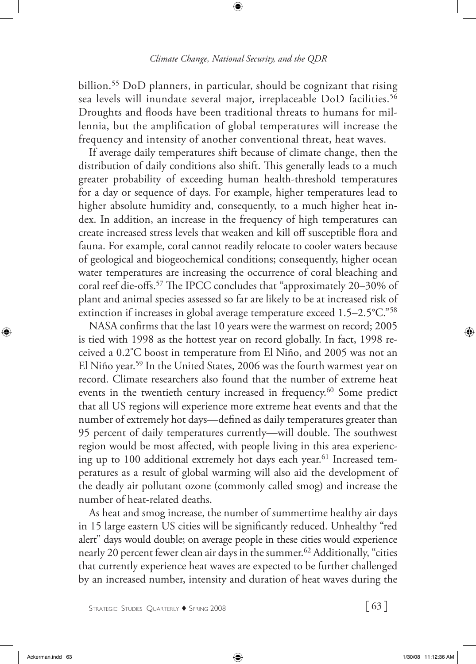billion.55 DoD planners, in particular, should be cognizant that rising sea levels will inundate several major, irreplaceable DoD facilities.<sup>56</sup> Droughts and floods have been traditional threats to humans for millennia, but the amplification of global temperatures will increase the frequency and intensity of another conventional threat, heat waves.

If average daily temperatures shift because of climate change, then the distribution of daily conditions also shift. This generally leads to a much greater probability of exceeding human health-threshold temperatures for a day or sequence of days. For example, higher temperatures lead to higher absolute humidity and, consequently, to a much higher heat index. In addition, an increase in the frequency of high temperatures can create increased stress levels that weaken and kill off susceptible flora and fauna. For example, coral cannot readily relocate to cooler waters because of geological and biogeochemical conditions; consequently, higher ocean water temperatures are increasing the occurrence of coral bleaching and coral reef die-offs.57 The IPCC concludes that "approximately 20–30% of plant and animal species assessed so far are likely to be at increased risk of extinction if increases in global average temperature exceed 1.5–2.5°C."58

NASA confirms that the last 10 years were the warmest on record; 2005 is tied with 1998 as the hottest year on record globally. In fact, 1998 received a 0.2º C boost in temperature from El Niño, and 2005 was not an El Niño year.59 In the United States, 2006 was the fourth warmest year on record. Climate researchers also found that the number of extreme heat events in the twentieth century increased in frequency.<sup>60</sup> Some predict that all US regions will experience more extreme heat events and that the number of extremely hot days—defined as daily temperatures greater than 95 percent of daily temperatures currently—will double. The southwest region would be most affected, with people living in this area experiencing up to 100 additional extremely hot days each year.<sup>61</sup> Increased temperatures as a result of global warming will also aid the development of the deadly air pollutant ozone (commonly called smog) and increase the number of heat-related deaths.

As heat and smog increase, the number of summertime healthy air days in 15 large eastern US cities will be significantly reduced. Unhealthy "red alert" days would double; on average people in these cities would experience nearly 20 percent fewer clean air days in the summer.62 Additionally, "cities that currently experience heat waves are expected to be further challenged by an increased number, intensity and duration of heat waves during the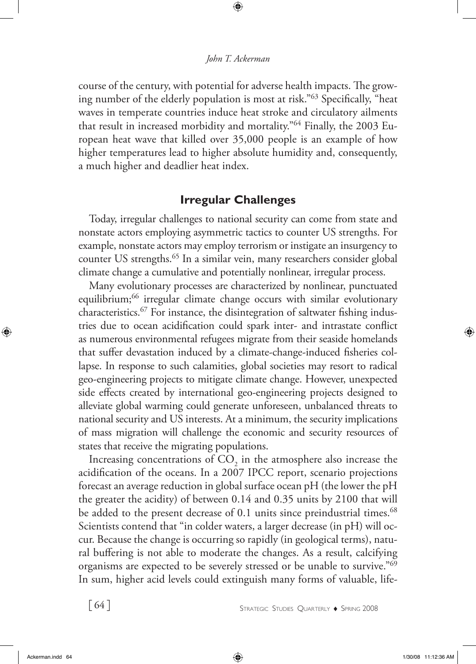course of the century, with potential for adverse health impacts. The growing number of the elderly population is most at risk."63 Specifically, "heat waves in temperate countries induce heat stroke and circulatory ailments that result in increased morbidity and mortality."64 Finally, the 2003 European heat wave that killed over 35,000 people is an example of how higher temperatures lead to higher absolute humidity and, consequently, a much higher and deadlier heat index.

## **Irregular Challenges**

Today, irregular challenges to national security can come from state and nonstate actors employing asymmetric tactics to counter US strengths. For example, nonstate actors may employ terrorism or instigate an insurgency to counter US strengths.<sup>65</sup> In a similar vein, many researchers consider global climate change a cumulative and potentially nonlinear, irregular process.

Many evolutionary processes are characterized by nonlinear, punctuated equilibrium;<sup>66</sup> irregular climate change occurs with similar evolutionary characteristics.67 For instance, the disintegration of saltwater fishing industries due to ocean acidification could spark inter- and intrastate conflict as numerous environmental refugees migrate from their seaside homelands that suffer devastation induced by a climate-change-induced fisheries collapse. In response to such calamities, global societies may resort to radical geo-engineering projects to mitigate climate change. However, unexpected side effects created by international geo-engineering projects designed to alleviate global warming could generate unforeseen, unbalanced threats to national security and US interests. At a minimum, the security implications of mass migration will challenge the economic and security resources of states that receive the migrating populations.

Increasing concentrations of  $\mathrm{CO}_2$  in the atmosphere also increase the acidification of the oceans. In a 2007 IPCC report, scenario projections forecast an average reduction in global surface ocean pH (the lower the pH the greater the acidity) of between 0.14 and 0.35 units by 2100 that will be added to the present decrease of 0.1 units since preindustrial times.<sup>68</sup> Scientists contend that "in colder waters, a larger decrease (in pH) will occur. Because the change is occurring so rapidly (in geological terms), natural buffering is not able to moderate the changes. As a result, calcifying organisms are expected to be severely stressed or be unable to survive."69 In sum, higher acid levels could extinguish many forms of valuable, life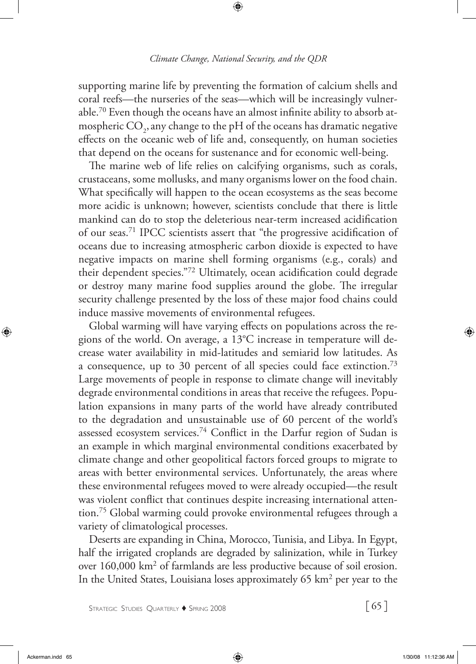supporting marine life by preventing the formation of calcium shells and coral reefs—the nurseries of the seas—which will be increasingly vulnerable.70 Even though the oceans have an almost infinite ability to absorb atmospheric  $\mathrm{CO}_2$ , any change to the pH of the oceans has dramatic negative effects on the oceanic web of life and, consequently, on human societies that depend on the oceans for sustenance and for economic well-being.

The marine web of life relies on calcifying organisms, such as corals, crustaceans, some mollusks, and many organisms lower on the food chain. What specifically will happen to the ocean ecosystems as the seas become more acidic is unknown; however, scientists conclude that there is little mankind can do to stop the deleterious near-term increased acidification of our seas.71 IPCC scientists assert that "the progressive acidification of oceans due to increasing atmospheric carbon dioxide is expected to have negative impacts on marine shell forming organisms (e.g., corals) and their dependent species."72 Ultimately, ocean acidification could degrade or destroy many marine food supplies around the globe. The irregular security challenge presented by the loss of these major food chains could induce massive movements of environmental refugees.

Global warming will have varying effects on populations across the regions of the world. On average, a 13°C increase in temperature will decrease water availability in mid-latitudes and semiarid low latitudes. As a consequence, up to 30 percent of all species could face extinction.73 Large movements of people in response to climate change will inevitably degrade environmental conditions in areas that receive the refugees. Population expansions in many parts of the world have already contributed to the degradation and unsustainable use of 60 percent of the world's assessed ecosystem services.<sup>74</sup> Conflict in the Darfur region of Sudan is an example in which marginal environmental conditions exacerbated by climate change and other geopolitical factors forced groups to migrate to areas with better environmental services. Unfortunately, the areas where these environmental refugees moved to were already occupied—the result was violent conflict that continues despite increasing international attention.75 Global warming could provoke environmental refugees through a variety of climatological processes.

Deserts are expanding in China, Morocco, Tunisia, and Libya. In Egypt, half the irrigated croplands are degraded by salinization, while in Turkey over 160,000 km<sup>2</sup> of farmlands are less productive because of soil erosion. In the United States, Louisiana loses approximately 65 km<sup>2</sup> per year to the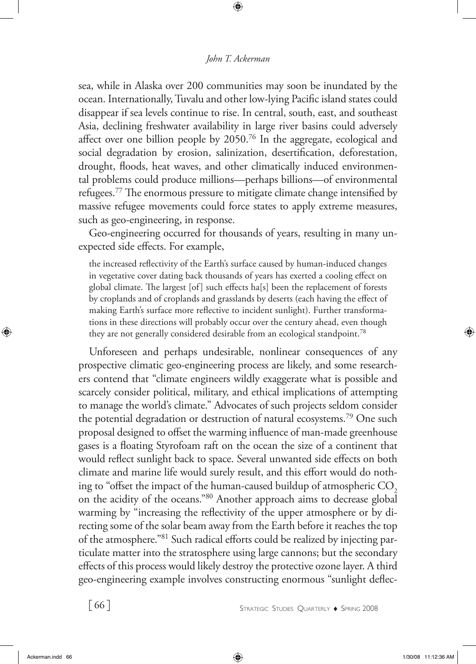sea, while in Alaska over 200 communities may soon be inundated by the ocean. Internationally, Tuvalu and other low-lying Pacific island states could disappear if sea levels continue to rise. In central, south, east, and southeast Asia, declining freshwater availability in large river basins could adversely affect over one billion people by 2050.76 In the aggregate, ecological and social degradation by erosion, salinization, desertification, deforestation, drought, floods, heat waves, and other climatically induced environmental problems could produce millions—perhaps billions—of environmental refugees.<sup>77</sup> The enormous pressure to mitigate climate change intensified by massive refugee movements could force states to apply extreme measures, such as geo-engineering, in response.

Geo-engineering occurred for thousands of years, resulting in many unexpected side effects. For example,

the increased reflectivity of the Earth's surface caused by human-induced changes in vegetative cover dating back thousands of years has exerted a cooling effect on global climate. The largest [of] such effects ha[s] been the replacement of forests by croplands and of croplands and grasslands by deserts (each having the effect of making Earth's surface more reflective to incident sunlight). Further transformations in these directions will probably occur over the century ahead, even though they are not generally considered desirable from an ecological standpoint.<sup>78</sup>

Unforeseen and perhaps undesirable, nonlinear consequences of any prospective climatic geo-engineering process are likely, and some researchers contend that "climate engineers wildly exaggerate what is possible and scarcely consider political, military, and ethical implications of attempting to manage the world's climate." Advocates of such projects seldom consider the potential degradation or destruction of natural ecosystems.79 One such proposal designed to offset the warming influence of man-made greenhouse gases is a floating Styrofoam raft on the ocean the size of a continent that would reflect sunlight back to space. Several unwanted side effects on both climate and marine life would surely result, and this effort would do nothing to "offset the impact of the human-caused buildup of atmospheric CO<sub>2</sub> on the acidity of the oceans."80 Another approach aims to decrease global warming by "increasing the reflectivity of the upper atmosphere or by directing some of the solar beam away from the Earth before it reaches the top of the atmosphere."81 Such radical efforts could be realized by injecting particulate matter into the stratosphere using large cannons; but the secondary effects of this process would likely destroy the protective ozone layer. A third geo-engineering example involves constructing enormous "sunlight deflec-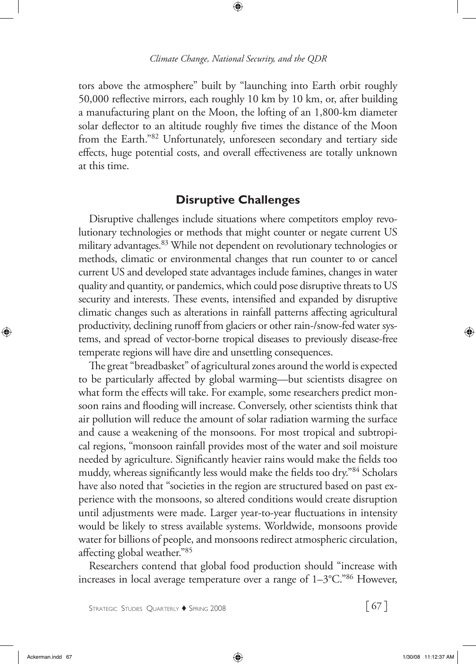tors above the atmosphere" built by "launching into Earth orbit roughly 50,000 reflective mirrors, each roughly 10 km by 10 km, or, after building a manufacturing plant on the Moon, the lofting of an 1,800-km diameter solar deflector to an altitude roughly five times the distance of the Moon from the Earth."82 Unfortunately, unforeseen secondary and tertiary side effects, huge potential costs, and overall effectiveness are totally unknown at this time.

## **Disruptive Challenges**

Disruptive challenges include situations where competitors employ revolutionary technologies or methods that might counter or negate current US military advantages.<sup>83</sup> While not dependent on revolutionary technologies or methods, climatic or environmental changes that run counter to or cancel current US and developed state advantages include famines, changes in water quality and quantity, or pandemics, which could pose disruptive threats to US security and interests. These events, intensified and expanded by disruptive climatic changes such as alterations in rainfall patterns affecting agricultural productivity, declining runoff from glaciers or other rain-/snow-fed water systems, and spread of vector-borne tropical diseases to previously disease-free temperate regions will have dire and unsettling consequences.

The great "breadbasket" of agricultural zones around the world is expected to be particularly affected by global warming—but scientists disagree on what form the effects will take. For example, some researchers predict monsoon rains and flooding will increase. Conversely, other scientists think that air pollution will reduce the amount of solar radiation warming the surface and cause a weakening of the monsoons. For most tropical and subtropical regions, "monsoon rainfall provides most of the water and soil moisture needed by agriculture. Significantly heavier rains would make the fields too muddy, whereas significantly less would make the fields too dry."84 Scholars have also noted that "societies in the region are structured based on past experience with the monsoons, so altered conditions would create disruption until adjustments were made. Larger year-to-year fluctuations in intensity would be likely to stress available systems. Worldwide, monsoons provide water for billions of people, and monsoons redirect atmospheric circulation, affecting global weather."85

Researchers contend that global food production should "increase with increases in local average temperature over a range of 1–3°C."86 However,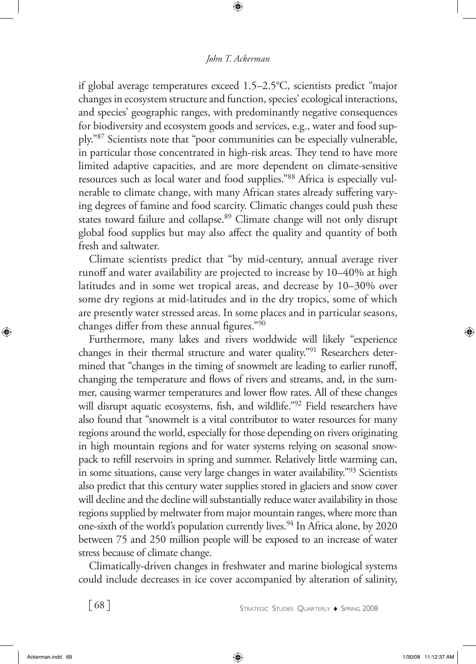if global average temperatures exceed 1.5–2.5°C, scientists predict "major changes in ecosystem structure and function, species' ecological interactions, and species' geographic ranges, with predominantly negative consequences for biodiversity and ecosystem goods and services, e.g., water and food supply."87 Scientists note that "poor communities can be especially vulnerable, in particular those concentrated in high-risk areas. They tend to have more limited adaptive capacities, and are more dependent on climate-sensitive resources such as local water and food supplies."88 Africa is especially vulnerable to climate change, with many African states already suffering varying degrees of famine and food scarcity. Climatic changes could push these states toward failure and collapse.<sup>89</sup> Climate change will not only disrupt global food supplies but may also affect the quality and quantity of both fresh and saltwater.

Climate scientists predict that "by mid-century, annual average river runoff and water availability are projected to increase by 10–40% at high latitudes and in some wet tropical areas, and decrease by 10–30% over some dry regions at mid-latitudes and in the dry tropics, some of which are presently water stressed areas. In some places and in particular seasons, changes differ from these annual figures."90

Furthermore, many lakes and rivers worldwide will likely "experience changes in their thermal structure and water quality."91 Researchers determined that "changes in the timing of snowmelt are leading to earlier runoff, changing the temperature and flows of rivers and streams, and, in the summer, causing warmer temperatures and lower flow rates. All of these changes will disrupt aquatic ecosystems, fish, and wildlife."92 Field researchers have also found that "snowmelt is a vital contributor to water resources for many regions around the world, especially for those depending on rivers originating in high mountain regions and for water systems relying on seasonal snowpack to refill reservoirs in spring and summer. Relatively little warming can, in some situations, cause very large changes in water availability."93 Scientists also predict that this century water supplies stored in glaciers and snow cover will decline and the decline will substantially reduce water availability in those regions supplied by meltwater from major mountain ranges, where more than one-sixth of the world's population currently lives.<sup>94</sup> In Africa alone, by 2020 between 75 and 250 million people will be exposed to an increase of water stress because of climate change.

Climatically-driven changes in freshwater and marine biological systems could include decreases in ice cover accompanied by alteration of salinity,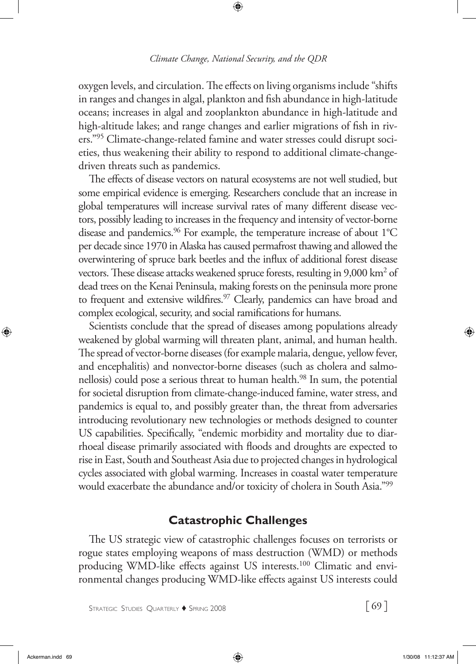oxygen levels, and circulation. The effects on living organisms include "shifts in ranges and changes in algal, plankton and fish abundance in high-latitude oceans; increases in algal and zooplankton abundance in high-latitude and high-altitude lakes; and range changes and earlier migrations of fish in rivers."95 Climate-change-related famine and water stresses could disrupt societies, thus weakening their ability to respond to additional climate-changedriven threats such as pandemics.

The effects of disease vectors on natural ecosystems are not well studied, but some empirical evidence is emerging. Researchers conclude that an increase in global temperatures will increase survival rates of many different disease vectors, possibly leading to increases in the frequency and intensity of vector-borne disease and pandemics.<sup>96</sup> For example, the temperature increase of about 1°C per decade since 1970 in Alaska has caused permafrost thawing and allowed the overwintering of spruce bark beetles and the influx of additional forest disease vectors. These disease attacks weakened spruce forests, resulting in 9,000 km<sup>2</sup> of dead trees on the Kenai Peninsula, making forests on the peninsula more prone to frequent and extensive wildfires.<sup>97</sup> Clearly, pandemics can have broad and complex ecological, security, and social ramifications for humans.

Scientists conclude that the spread of diseases among populations already weakened by global warming will threaten plant, animal, and human health. The spread of vector-borne diseases (for example malaria, dengue, yellow fever, and encephalitis) and nonvector-borne diseases (such as cholera and salmonellosis) could pose a serious threat to human health.<sup>98</sup> In sum, the potential for societal disruption from climate-change-induced famine, water stress, and pandemics is equal to, and possibly greater than, the threat from adversaries introducing revolutionary new technologies or methods designed to counter US capabilities. Specifically, "endemic morbidity and mortality due to diarrhoeal disease primarily associated with floods and droughts are expected to rise in East, South and Southeast Asia due to projected changes in hydrological cycles associated with global warming. Increases in coastal water temperature would exacerbate the abundance and/or toxicity of cholera in South Asia."<sup>99</sup>

### **Catastrophic Challenges**

The US strategic view of catastrophic challenges focuses on terrorists or rogue states employing weapons of mass destruction (WMD) or methods producing WMD-like effects against US interests.<sup>100</sup> Climatic and environmental changes producing WMD-like effects against US interests could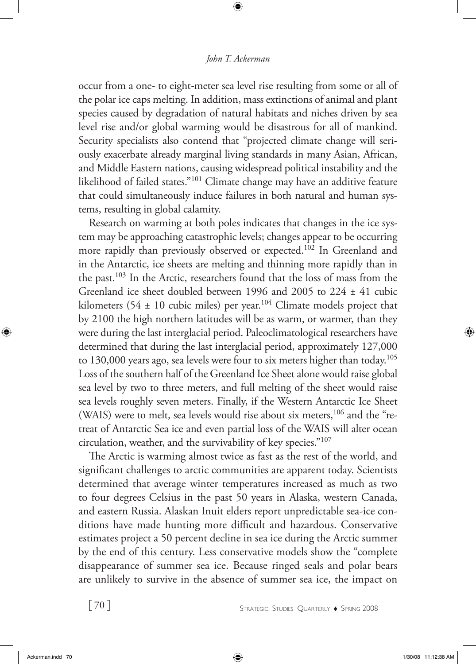occur from a one- to eight-meter sea level rise resulting from some or all of the polar ice caps melting. In addition, mass extinctions of animal and plant species caused by degradation of natural habitats and niches driven by sea level rise and/or global warming would be disastrous for all of mankind. Security specialists also contend that "projected climate change will seriously exacerbate already marginal living standards in many Asian, African, and Middle Eastern nations, causing widespread political instability and the likelihood of failed states."101 Climate change may have an additive feature that could simultaneously induce failures in both natural and human systems, resulting in global calamity.

Research on warming at both poles indicates that changes in the ice system may be approaching catastrophic levels; changes appear to be occurring more rapidly than previously observed or expected.<sup>102</sup> In Greenland and in the Antarctic, ice sheets are melting and thinning more rapidly than in the past.103 In the Arctic, researchers found that the loss of mass from the Greenland ice sheet doubled between 1996 and 2005 to 224 ± 41 cubic kilometers (54  $\pm$  10 cubic miles) per year.<sup>104</sup> Climate models project that by 2100 the high northern latitudes will be as warm, or warmer, than they were during the last interglacial period. Paleoclimatological researchers have determined that during the last interglacial period, approximately 127,000 to 130,000 years ago, sea levels were four to six meters higher than today.<sup>105</sup> Loss of the southern half of the Greenland Ice Sheet alone would raise global sea level by two to three meters, and full melting of the sheet would raise sea levels roughly seven meters. Finally, if the Western Antarctic Ice Sheet (WAIS) were to melt, sea levels would rise about six meters,<sup>106</sup> and the "retreat of Antarctic Sea ice and even partial loss of the WAIS will alter ocean circulation, weather, and the survivability of key species."107

The Arctic is warming almost twice as fast as the rest of the world, and significant challenges to arctic communities are apparent today. Scientists determined that average winter temperatures increased as much as two to four degrees Celsius in the past 50 years in Alaska, western Canada, and eastern Russia. Alaskan Inuit elders report unpredictable sea-ice conditions have made hunting more difficult and hazardous. Conservative estimates project a 50 percent decline in sea ice during the Arctic summer by the end of this century. Less conservative models show the "complete disappearance of summer sea ice. Because ringed seals and polar bears are unlikely to survive in the absence of summer sea ice, the impact on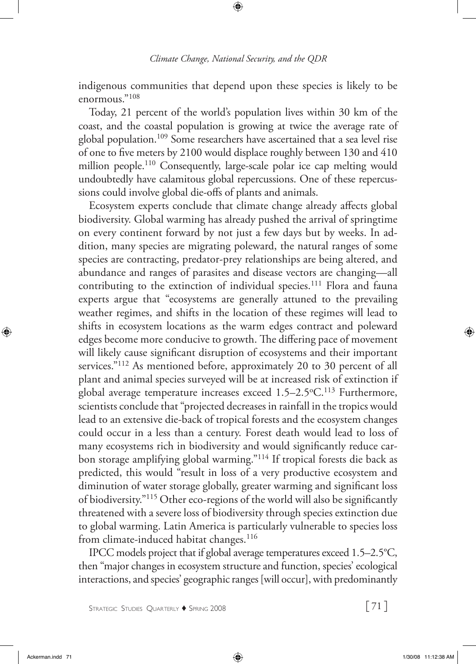indigenous communities that depend upon these species is likely to be enormous."108

Today, 21 percent of the world's population lives within 30 km of the coast, and the coastal population is growing at twice the average rate of global population.109 Some researchers have ascertained that a sea level rise of one to five meters by 2100 would displace roughly between 130 and 410 million people.110 Consequently, large-scale polar ice cap melting would undoubtedly have calamitous global repercussions. One of these repercussions could involve global die-offs of plants and animals.

Ecosystem experts conclude that climate change already affects global biodiversity. Global warming has already pushed the arrival of springtime on every continent forward by not just a few days but by weeks. In addition, many species are migrating poleward, the natural ranges of some species are contracting, predator-prey relationships are being altered, and abundance and ranges of parasites and disease vectors are changing—all contributing to the extinction of individual species.<sup>111</sup> Flora and fauna experts argue that "ecosystems are generally attuned to the prevailing weather regimes, and shifts in the location of these regimes will lead to shifts in ecosystem locations as the warm edges contract and poleward edges become more conducive to growth. The differing pace of movement will likely cause significant disruption of ecosystems and their important services."112 As mentioned before, approximately 20 to 30 percent of all plant and animal species surveyed will be at increased risk of extinction if global average temperature increases exceed 1.5–2.5°C.<sup>113</sup> Furthermore, scientists conclude that "projected decreases in rainfall in the tropics would lead to an extensive die-back of tropical forests and the ecosystem changes could occur in a less than a century. Forest death would lead to loss of many ecosystems rich in biodiversity and would significantly reduce carbon storage amplifying global warming."114 If tropical forests die back as predicted, this would "result in loss of a very productive ecosystem and diminution of water storage globally, greater warming and significant loss of biodiversity."115 Other eco-regions of the world will also be significantly threatened with a severe loss of biodiversity through species extinction due to global warming. Latin America is particularly vulnerable to species loss from climate-induced habitat changes.<sup>116</sup>

IPCC models project that if global average temperatures exceed 1.5–2.5°C, then "major changes in ecosystem structure and function, species' ecological interactions, and species' geographic ranges [will occur], with predominantly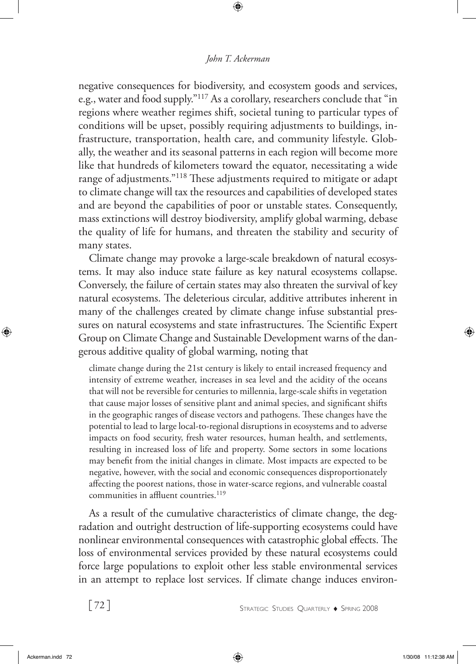### *John T. Ackerman*

negative consequences for biodiversity, and ecosystem goods and services, e.g., water and food supply."117 As a corollary, researchers conclude that "in regions where weather regimes shift, societal tuning to particular types of conditions will be upset, possibly requiring adjustments to buildings, infrastructure, transportation, health care, and community lifestyle. Globally, the weather and its seasonal patterns in each region will become more like that hundreds of kilometers toward the equator, necessitating a wide range of adjustments."118 These adjustments required to mitigate or adapt to climate change will tax the resources and capabilities of developed states and are beyond the capabilities of poor or unstable states. Consequently, mass extinctions will destroy biodiversity, amplify global warming, debase the quality of life for humans, and threaten the stability and security of many states.

Climate change may provoke a large-scale breakdown of natural ecosystems. It may also induce state failure as key natural ecosystems collapse. Conversely, the failure of certain states may also threaten the survival of key natural ecosystems. The deleterious circular, additive attributes inherent in many of the challenges created by climate change infuse substantial pressures on natural ecosystems and state infrastructures. The Scientific Expert Group on Climate Change and Sustainable Development warns of the dangerous additive quality of global warming, noting that

climate change during the 21st century is likely to entail increased frequency and intensity of extreme weather, increases in sea level and the acidity of the oceans that will not be reversible for centuries to millennia, large-scale shifts in vegetation that cause major losses of sensitive plant and animal species, and significant shifts in the geographic ranges of disease vectors and pathogens. These changes have the potential to lead to large local-to-regional disruptions in ecosystems and to adverse impacts on food security, fresh water resources, human health, and settlements, resulting in increased loss of life and property. Some sectors in some locations may benefit from the initial changes in climate. Most impacts are expected to be negative, however, with the social and economic consequences disproportionately affecting the poorest nations, those in water-scarce regions, and vulnerable coastal communities in affluent countries.<sup>119</sup>

As a result of the cumulative characteristics of climate change, the degradation and outright destruction of life-supporting ecosystems could have nonlinear environmental consequences with catastrophic global effects. The loss of environmental services provided by these natural ecosystems could force large populations to exploit other less stable environmental services in an attempt to replace lost services. If climate change induces environ-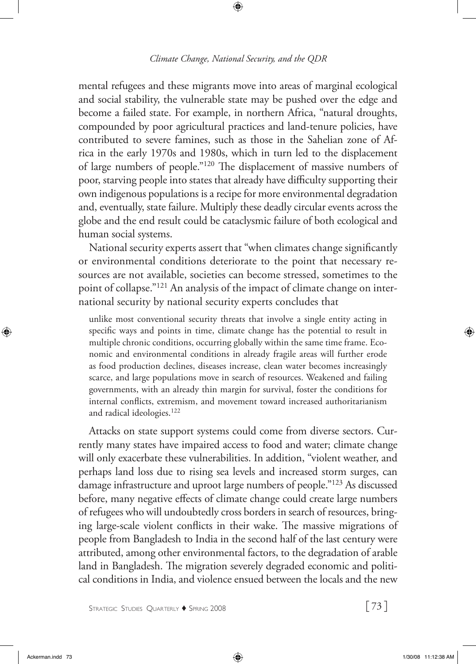mental refugees and these migrants move into areas of marginal ecological and social stability, the vulnerable state may be pushed over the edge and become a failed state. For example, in northern Africa, "natural droughts, compounded by poor agricultural practices and land-tenure policies, have contributed to severe famines, such as those in the Sahelian zone of Africa in the early 1970s and 1980s, which in turn led to the displacement of large numbers of people."120 The displacement of massive numbers of poor, starving people into states that already have difficulty supporting their own indigenous populations is a recipe for more environmental degradation and, eventually, state failure. Multiply these deadly circular events across the globe and the end result could be cataclysmic failure of both ecological and human social systems.

National security experts assert that "when climates change significantly or environmental conditions deteriorate to the point that necessary resources are not available, societies can become stressed, sometimes to the point of collapse."121 An analysis of the impact of climate change on international security by national security experts concludes that

unlike most conventional security threats that involve a single entity acting in specific ways and points in time, climate change has the potential to result in multiple chronic conditions, occurring globally within the same time frame. Economic and environmental conditions in already fragile areas will further erode as food production declines, diseases increase, clean water becomes increasingly scarce, and large populations move in search of resources. Weakened and failing governments, with an already thin margin for survival, foster the conditions for internal conflicts, extremism, and movement toward increased authoritarianism and radical ideologies.122

Attacks on state support systems could come from diverse sectors. Currently many states have impaired access to food and water; climate change will only exacerbate these vulnerabilities. In addition, "violent weather, and perhaps land loss due to rising sea levels and increased storm surges, can damage infrastructure and uproot large numbers of people."123 As discussed before, many negative effects of climate change could create large numbers of refugees who will undoubtedly cross borders in search of resources, bringing large-scale violent conflicts in their wake. The massive migrations of people from Bangladesh to India in the second half of the last century were attributed, among other environmental factors, to the degradation of arable land in Bangladesh. The migration severely degraded economic and political conditions in India, and violence ensued between the locals and the new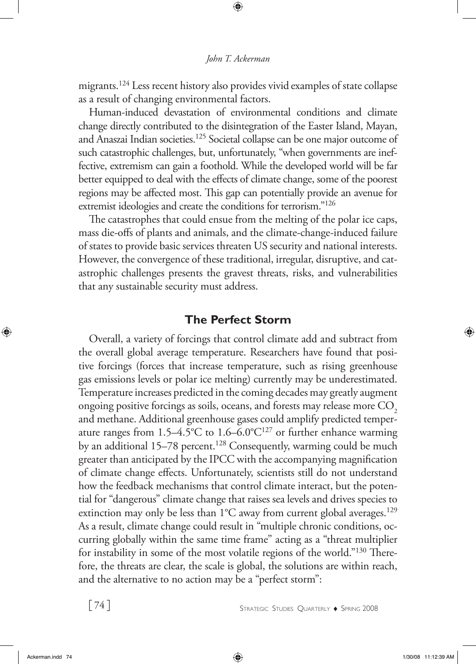migrants.124 Less recent history also provides vivid examples of state collapse as a result of changing environmental factors.

Human-induced devastation of environmental conditions and climate change directly contributed to the disintegration of the Easter Island, Mayan, and Anaszai Indian societies.<sup>125</sup> Societal collapse can be one major outcome of such catastrophic challenges, but, unfortunately, "when governments are ineffective, extremism can gain a foothold. While the developed world will be far better equipped to deal with the effects of climate change, some of the poorest regions may be affected most. This gap can potentially provide an avenue for extremist ideologies and create the conditions for terrorism."126

The catastrophes that could ensue from the melting of the polar ice caps, mass die-offs of plants and animals, and the climate-change-induced failure of states to provide basic services threaten US security and national interests. However, the convergence of these traditional, irregular, disruptive, and catastrophic challenges presents the gravest threats, risks, and vulnerabilities that any sustainable security must address.

## **The Perfect Storm**

Overall, a variety of forcings that control climate add and subtract from the overall global average temperature. Researchers have found that positive forcings (forces that increase temperature, such as rising greenhouse gas emissions levels or polar ice melting) currently may be underestimated. Temperature increases predicted in the coming decades may greatly augment ongoing positive forcings as soils, oceans, and forests may release more CO<sub>2</sub> and methane. Additional greenhouse gases could amplify predicted temperature ranges from  $1.5-4.5^{\circ}$ C to  $1.6-6.0^{\circ}$ C<sup>127</sup> or further enhance warming by an additional 15–78 percent.<sup>128</sup> Consequently, warming could be much greater than anticipated by the IPCC with the accompanying magnification of climate change effects. Unfortunately, scientists still do not understand how the feedback mechanisms that control climate interact, but the potential for "dangerous" climate change that raises sea levels and drives species to extinction may only be less than  $1^{\circ}$ C away from current global averages.<sup>129</sup> As a result, climate change could result in "multiple chronic conditions, occurring globally within the same time frame" acting as a "threat multiplier for instability in some of the most volatile regions of the world."130 Therefore, the threats are clear, the scale is global, the solutions are within reach, and the alternative to no action may be a "perfect storm":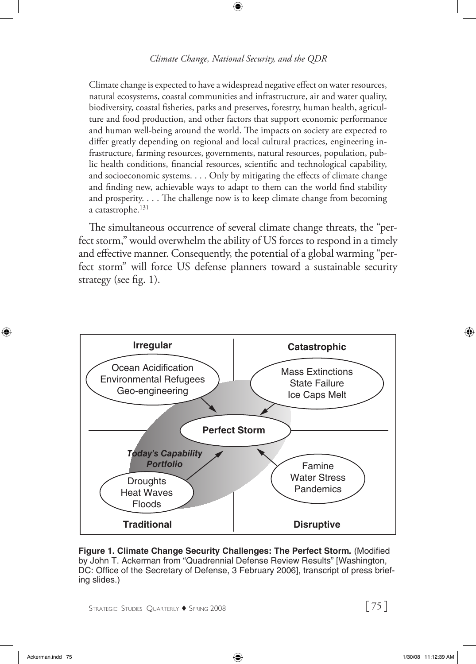Climate change is expected to have a widespread negative effect on water resources, natural ecosystems, coastal communities and infrastructure, air and water quality, biodiversity, coastal fisheries, parks and preserves, forestry, human health, agriculture and food production, and other factors that support economic performance and human well-being around the world. The impacts on society are expected to differ greatly depending on regional and local cultural practices, engineering infrastructure, farming resources, governments, natural resources, population, public health conditions, financial resources, scientific and technological capability, and socioeconomic systems. . . . Only by mitigating the effects of climate change and finding new, achievable ways to adapt to them can the world find stability and prosperity. . . . The challenge now is to keep climate change from becoming a catastrophe.<sup>131</sup>

The simultaneous occurrence of several climate change threats, the "perfect storm," would overwhelm the ability of US forces to respond in a timely and effective manner. Consequently, the potential of a global warming "perfect storm" will force US defense planners toward a sustainable security strategy (see fig. 1).



**Figure 1. Climate Change Security Challenges: The Perfect Storm.** (Modified by John T. Ackerman from "Quadrennial Defense Review Results" [Washington, DC: Office of the Secretary of Defense, 3 February 2006], transcript of press briefing slides.)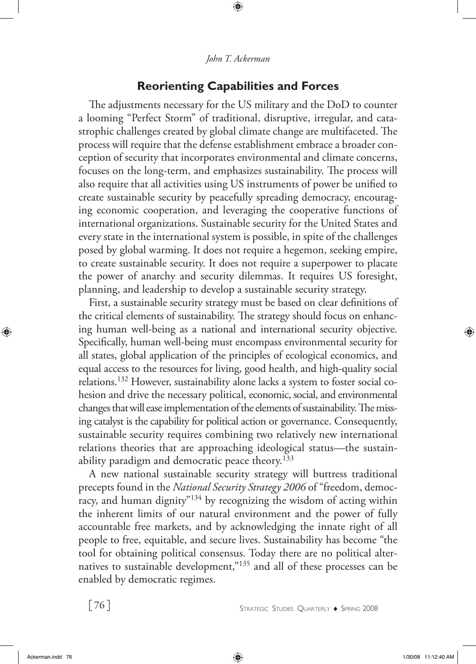## **Reorienting Capabilities and Forces**

The adjustments necessary for the US military and the DoD to counter a looming "Perfect Storm" of traditional, disruptive, irregular, and catastrophic challenges created by global climate change are multifaceted. The process will require that the defense establishment embrace a broader conception of security that incorporates environmental and climate concerns, focuses on the long-term, and emphasizes sustainability. The process will also require that all activities using US instruments of power be unified to create sustainable security by peacefully spreading democracy, encouraging economic cooperation, and leveraging the cooperative functions of international organizations. Sustainable security for the United States and every state in the international system is possible, in spite of the challenges posed by global warming. It does not require a hegemon, seeking empire, to create sustainable security. It does not require a superpower to placate the power of anarchy and security dilemmas. It requires US foresight, planning, and leadership to develop a sustainable security strategy.

First, a sustainable security strategy must be based on clear definitions of the critical elements of sustainability. The strategy should focus on enhancing human well-being as a national and international security objective. Specifically, human well-being must encompass environmental security for all states, global application of the principles of ecological economics, and equal access to the resources for living, good health, and high-quality social relations.132 However, sustainability alone lacks a system to foster social cohesion and drive the necessary political, economic, social, and environmental changes that will ease implementation of the elements of sustainability. The missing catalyst is the capability for political action or governance. Consequently, sustainable security requires combining two relatively new international relations theories that are approaching ideological status—the sustainability paradigm and democratic peace theory.<sup>133</sup>

A new national sustainable security strategy will buttress traditional precepts found in the *National Security Strategy 2006* of "freedom, democracy, and human dignity<sup>"134</sup> by recognizing the wisdom of acting within the inherent limits of our natural environment and the power of fully accountable free markets, and by acknowledging the innate right of all people to free, equitable, and secure lives. Sustainability has become "the tool for obtaining political consensus. Today there are no political alternatives to sustainable development,"<sup>135</sup> and all of these processes can be enabled by democratic regimes.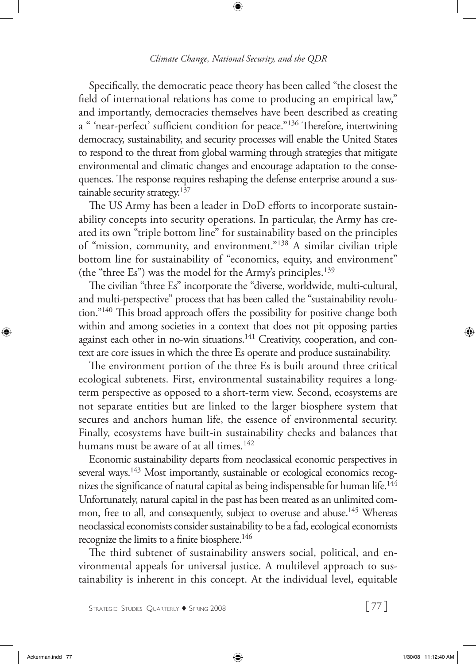Specifically, the democratic peace theory has been called "the closest the field of international relations has come to producing an empirical law," and importantly, democracies themselves have been described as creating a " 'near-perfect' sufficient condition for peace."<sup>136</sup> Therefore, intertwining democracy, sustainability, and security processes will enable the United States to respond to the threat from global warming through strategies that mitigate environmental and climatic changes and encourage adaptation to the consequences. The response requires reshaping the defense enterprise around a sustainable security strategy.<sup>137</sup>

The US Army has been a leader in DoD efforts to incorporate sustainability concepts into security operations. In particular, the Army has created its own "triple bottom line" for sustainability based on the principles of "mission, community, and environment."138 A similar civilian triple bottom line for sustainability of "economics, equity, and environment" (the "three Es") was the model for the Army's principles.<sup>139</sup>

The civilian "three Es" incorporate the "diverse, worldwide, multi-cultural, and multi-perspective" process that has been called the "sustainability revolution."140 This broad approach offers the possibility for positive change both within and among societies in a context that does not pit opposing parties against each other in no-win situations.<sup>141</sup> Creativity, cooperation, and context are core issues in which the three Es operate and produce sustainability.

The environment portion of the three Es is built around three critical ecological subtenets. First, environmental sustainability requires a longterm perspective as opposed to a short-term view. Second, ecosystems are not separate entities but are linked to the larger biosphere system that secures and anchors human life, the essence of environmental security. Finally, ecosystems have built-in sustainability checks and balances that humans must be aware of at all times.<sup>142</sup>

Economic sustainability departs from neoclassical economic perspectives in several ways.<sup>143</sup> Most importantly, sustainable or ecological economics recognizes the significance of natural capital as being indispensable for human life.<sup>144</sup> Unfortunately, natural capital in the past has been treated as an unlimited common, free to all, and consequently, subject to overuse and abuse.<sup>145</sup> Whereas neoclassical economists consider sustainability to be a fad, ecological economists recognize the limits to a finite biosphere.<sup>146</sup>

The third subtenet of sustainability answers social, political, and environmental appeals for universal justice. A multilevel approach to sustainability is inherent in this concept. At the individual level, equitable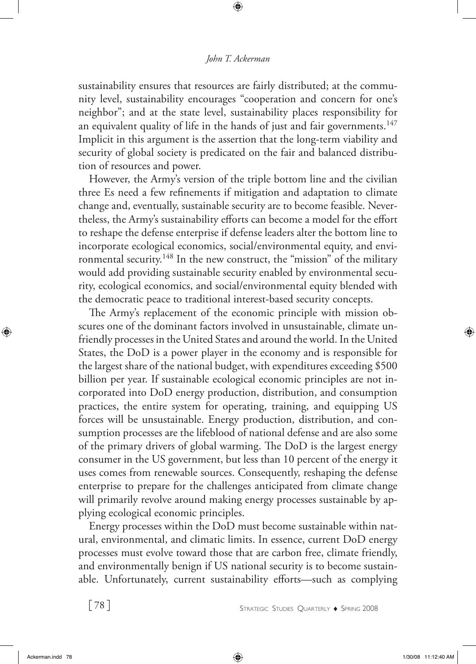#### *John T. Ackerman*

sustainability ensures that resources are fairly distributed; at the community level, sustainability encourages "cooperation and concern for one's neighbor"; and at the state level, sustainability places responsibility for an equivalent quality of life in the hands of just and fair governments.<sup>147</sup> Implicit in this argument is the assertion that the long-term viability and security of global society is predicated on the fair and balanced distribution of resources and power.

However, the Army's version of the triple bottom line and the civilian three Es need a few refinements if mitigation and adaptation to climate change and, eventually, sustainable security are to become feasible. Nevertheless, the Army's sustainability efforts can become a model for the effort to reshape the defense enterprise if defense leaders alter the bottom line to incorporate ecological economics, social/environmental equity, and environmental security.<sup>148</sup> In the new construct, the "mission" of the military would add providing sustainable security enabled by environmental security, ecological economics, and social/environmental equity blended with the democratic peace to traditional interest-based security concepts.

The Army's replacement of the economic principle with mission obscures one of the dominant factors involved in unsustainable, climate unfriendly processes in the United States and around the world. In the United States, the DoD is a power player in the economy and is responsible for the largest share of the national budget, with expenditures exceeding \$500 billion per year. If sustainable ecological economic principles are not incorporated into DoD energy production, distribution, and consumption practices, the entire system for operating, training, and equipping US forces will be unsustainable. Energy production, distribution, and consumption processes are the lifeblood of national defense and are also some of the primary drivers of global warming. The DoD is the largest energy consumer in the US government, but less than 10 percent of the energy it uses comes from renewable sources. Consequently, reshaping the defense enterprise to prepare for the challenges anticipated from climate change will primarily revolve around making energy processes sustainable by applying ecological economic principles.

Energy processes within the DoD must become sustainable within natural, environmental, and climatic limits. In essence, current DoD energy processes must evolve toward those that are carbon free, climate friendly, and environmentally benign if US national security is to become sustainable. Unfortunately, current sustainability efforts—such as complying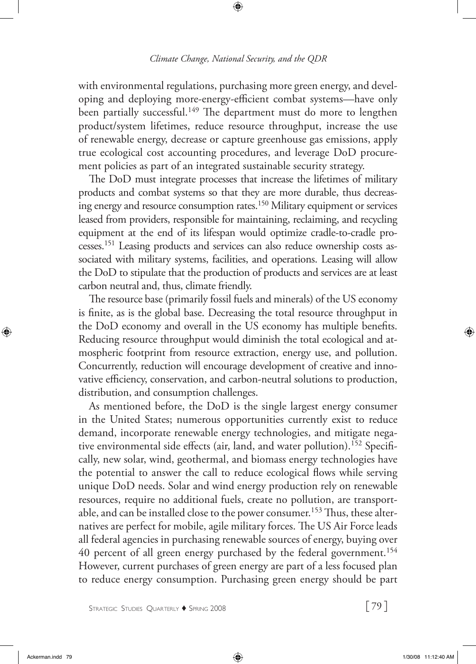with environmental regulations, purchasing more green energy, and developing and deploying more-energy-efficient combat systems—have only been partially successful.<sup>149</sup> The department must do more to lengthen product/system lifetimes, reduce resource throughput, increase the use of renewable energy, decrease or capture greenhouse gas emissions, apply true ecological cost accounting procedures, and leverage DoD procurement policies as part of an integrated sustainable security strategy.

The DoD must integrate processes that increase the lifetimes of military products and combat systems so that they are more durable, thus decreasing energy and resource consumption rates.<sup>150</sup> Military equipment or services leased from providers, responsible for maintaining, reclaiming, and recycling equipment at the end of its lifespan would optimize cradle-to-cradle processes.151 Leasing products and services can also reduce ownership costs associated with military systems, facilities, and operations. Leasing will allow the DoD to stipulate that the production of products and services are at least carbon neutral and, thus, climate friendly.

The resource base (primarily fossil fuels and minerals) of the US economy is finite, as is the global base. Decreasing the total resource throughput in the DoD economy and overall in the US economy has multiple benefits. Reducing resource throughput would diminish the total ecological and atmospheric footprint from resource extraction, energy use, and pollution. Concurrently, reduction will encourage development of creative and innovative efficiency, conservation, and carbon-neutral solutions to production, distribution, and consumption challenges.

As mentioned before, the DoD is the single largest energy consumer in the United States; numerous opportunities currently exist to reduce demand, incorporate renewable energy technologies, and mitigate negative environmental side effects (air, land, and water pollution).<sup>152</sup> Specifically, new solar, wind, geothermal, and biomass energy technologies have the potential to answer the call to reduce ecological flows while serving unique DoD needs. Solar and wind energy production rely on renewable resources, require no additional fuels, create no pollution, are transportable, and can be installed close to the power consumer.<sup>153</sup> Thus, these alternatives are perfect for mobile, agile military forces. The US Air Force leads all federal agencies in purchasing renewable sources of energy, buying over 40 percent of all green energy purchased by the federal government.<sup>154</sup> However, current purchases of green energy are part of a less focused plan to reduce energy consumption. Purchasing green energy should be part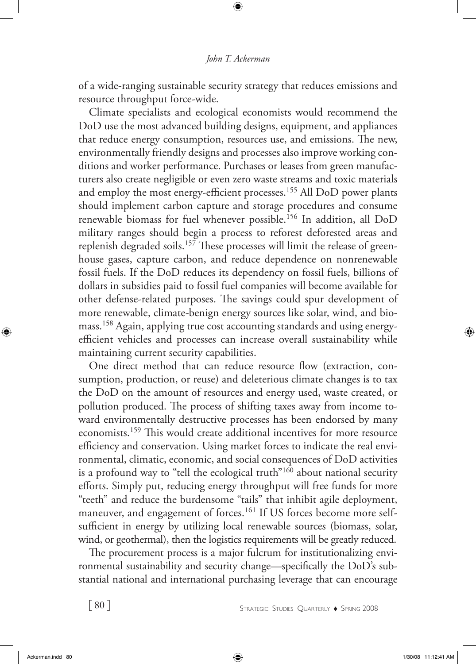of a wide-ranging sustainable security strategy that reduces emissions and resource throughput force-wide.

Climate specialists and ecological economists would recommend the DoD use the most advanced building designs, equipment, and appliances that reduce energy consumption, resources use, and emissions. The new, environmentally friendly designs and processes also improve working conditions and worker performance. Purchases or leases from green manufacturers also create negligible or even zero waste streams and toxic materials and employ the most energy-efficient processes.<sup>155</sup> All DoD power plants should implement carbon capture and storage procedures and consume renewable biomass for fuel whenever possible.156 In addition, all DoD military ranges should begin a process to reforest deforested areas and replenish degraded soils.<sup>157</sup> These processes will limit the release of greenhouse gases, capture carbon, and reduce dependence on nonrenewable fossil fuels. If the DoD reduces its dependency on fossil fuels, billions of dollars in subsidies paid to fossil fuel companies will become available for other defense-related purposes. The savings could spur development of more renewable, climate-benign energy sources like solar, wind, and biomass.158 Again, applying true cost accounting standards and using energyefficient vehicles and processes can increase overall sustainability while maintaining current security capabilities.

One direct method that can reduce resource flow (extraction, consumption, production, or reuse) and deleterious climate changes is to tax the DoD on the amount of resources and energy used, waste created, or pollution produced. The process of shifting taxes away from income toward environmentally destructive processes has been endorsed by many economists.159 This would create additional incentives for more resource efficiency and conservation. Using market forces to indicate the real environmental, climatic, economic, and social consequences of DoD activities is a profound way to "tell the ecological truth"<sup>160</sup> about national security efforts. Simply put, reducing energy throughput will free funds for more "teeth" and reduce the burdensome "tails" that inhibit agile deployment, maneuver, and engagement of forces.<sup>161</sup> If US forces become more selfsufficient in energy by utilizing local renewable sources (biomass, solar, wind, or geothermal), then the logistics requirements will be greatly reduced.

The procurement process is a major fulcrum for institutionalizing environmental sustainability and security change—specifically the DoD's substantial national and international purchasing leverage that can encourage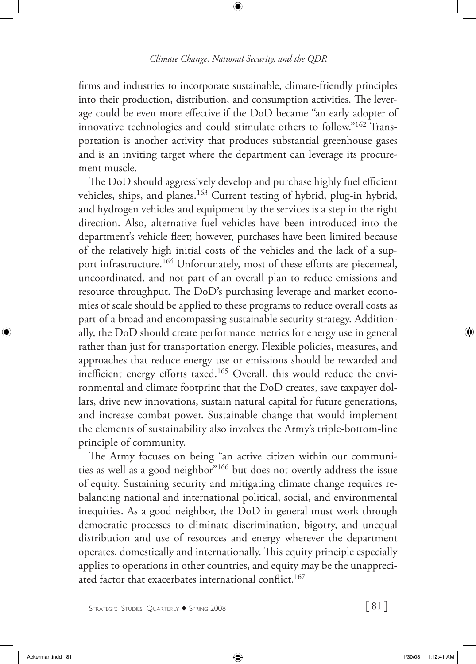firms and industries to incorporate sustainable, climate-friendly principles into their production, distribution, and consumption activities. The leverage could be even more effective if the DoD became "an early adopter of innovative technologies and could stimulate others to follow."162 Transportation is another activity that produces substantial greenhouse gases and is an inviting target where the department can leverage its procurement muscle.

The DoD should aggressively develop and purchase highly fuel efficient vehicles, ships, and planes.<sup>163</sup> Current testing of hybrid, plug-in hybrid, and hydrogen vehicles and equipment by the services is a step in the right direction. Also, alternative fuel vehicles have been introduced into the department's vehicle fleet; however, purchases have been limited because of the relatively high initial costs of the vehicles and the lack of a support infrastructure.<sup>164</sup> Unfortunately, most of these efforts are piecemeal, uncoordinated, and not part of an overall plan to reduce emissions and resource throughput. The DoD's purchasing leverage and market economies of scale should be applied to these programs to reduce overall costs as part of a broad and encompassing sustainable security strategy. Additionally, the DoD should create performance metrics for energy use in general rather than just for transportation energy. Flexible policies, measures, and approaches that reduce energy use or emissions should be rewarded and inefficient energy efforts taxed.<sup>165</sup> Overall, this would reduce the environmental and climate footprint that the DoD creates, save taxpayer dollars, drive new innovations, sustain natural capital for future generations, and increase combat power. Sustainable change that would implement the elements of sustainability also involves the Army's triple-bottom-line principle of community.

The Army focuses on being "an active citizen within our communities as well as a good neighbor"166 but does not overtly address the issue of equity. Sustaining security and mitigating climate change requires rebalancing national and international political, social, and environmental inequities. As a good neighbor, the DoD in general must work through democratic processes to eliminate discrimination, bigotry, and unequal distribution and use of resources and energy wherever the department operates, domestically and internationally. This equity principle especially applies to operations in other countries, and equity may be the unappreciated factor that exacerbates international conflict.<sup>167</sup>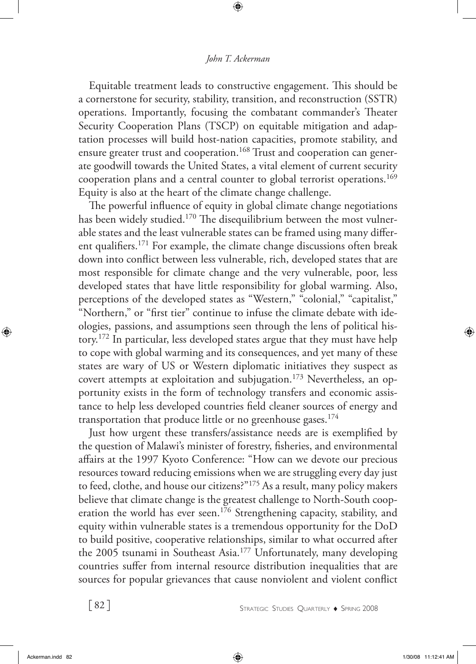Equitable treatment leads to constructive engagement. This should be a cornerstone for security, stability, transition, and reconstruction (SSTR) operations. Importantly, focusing the combatant commander's Theater Security Cooperation Plans (TSCP) on equitable mitigation and adaptation processes will build host-nation capacities, promote stability, and ensure greater trust and cooperation.<sup>168</sup> Trust and cooperation can generate goodwill towards the United States, a vital element of current security cooperation plans and a central counter to global terrorist operations.<sup>169</sup> Equity is also at the heart of the climate change challenge.

The powerful influence of equity in global climate change negotiations has been widely studied.<sup>170</sup> The disequilibrium between the most vulnerable states and the least vulnerable states can be framed using many different qualifiers.171 For example, the climate change discussions often break down into conflict between less vulnerable, rich, developed states that are most responsible for climate change and the very vulnerable, poor, less developed states that have little responsibility for global warming. Also, perceptions of the developed states as "Western," "colonial," "capitalist," "Northern," or "first tier" continue to infuse the climate debate with ideologies, passions, and assumptions seen through the lens of political history.172 In particular, less developed states argue that they must have help to cope with global warming and its consequences, and yet many of these states are wary of US or Western diplomatic initiatives they suspect as covert attempts at exploitation and subjugation.<sup>173</sup> Nevertheless, an opportunity exists in the form of technology transfers and economic assistance to help less developed countries field cleaner sources of energy and transportation that produce little or no greenhouse gases.<sup>174</sup>

Just how urgent these transfers/assistance needs are is exemplified by the question of Malawi's minister of forestry, fisheries, and environmental affairs at the 1997 Kyoto Conference: "How can we devote our precious resources toward reducing emissions when we are struggling every day just to feed, clothe, and house our citizens?"175 As a result, many policy makers believe that climate change is the greatest challenge to North-South cooperation the world has ever seen.<sup>176</sup> Strengthening capacity, stability, and equity within vulnerable states is a tremendous opportunity for the DoD to build positive, cooperative relationships, similar to what occurred after the 2005 tsunami in Southeast Asia.<sup>177</sup> Unfortunately, many developing countries suffer from internal resource distribution inequalities that are sources for popular grievances that cause nonviolent and violent conflict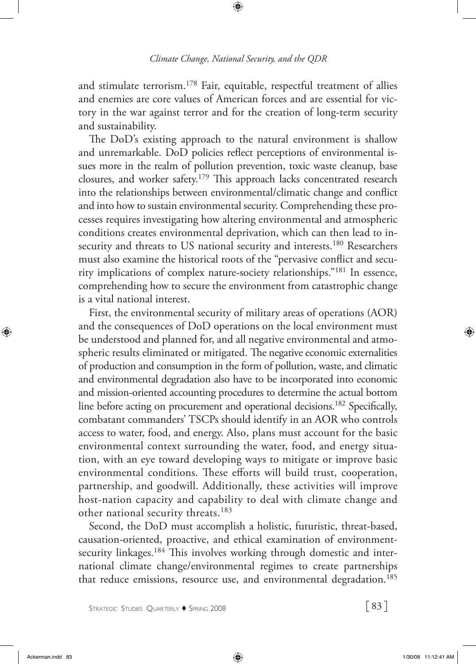and stimulate terrorism.<sup>178</sup> Fair, equitable, respectful treatment of allies and enemies are core values of American forces and are essential for victory in the war against terror and for the creation of long-term security and sustainability.

The DoD's existing approach to the natural environment is shallow and unremarkable. DoD policies reflect perceptions of environmental issues more in the realm of pollution prevention, toxic waste cleanup, base closures, and worker safety.179 This approach lacks concentrated research into the relationships between environmental/climatic change and conflict and into how to sustain environmental security. Comprehending these processes requires investigating how altering environmental and atmospheric conditions creates environmental deprivation, which can then lead to insecurity and threats to US national security and interests.<sup>180</sup> Researchers must also examine the historical roots of the "pervasive conflict and security implications of complex nature-society relationships."181 In essence, comprehending how to secure the environment from catastrophic change is a vital national interest.

First, the environmental security of military areas of operations (AOR) and the consequences of DoD operations on the local environment must be understood and planned for, and all negative environmental and atmospheric results eliminated or mitigated. The negative economic externalities of production and consumption in the form of pollution, waste, and climatic and environmental degradation also have to be incorporated into economic and mission-oriented accounting procedures to determine the actual bottom line before acting on procurement and operational decisions.<sup>182</sup> Specifically, combatant commanders' TSCPs should identify in an AOR who controls access to water, food, and energy. Also, plans must account for the basic environmental context surrounding the water, food, and energy situation, with an eye toward developing ways to mitigate or improve basic environmental conditions. These efforts will build trust, cooperation, partnership, and goodwill. Additionally, these activities will improve host-nation capacity and capability to deal with climate change and other national security threats.<sup>183</sup>

Second, the DoD must accomplish a holistic, futuristic, threat-based, causation-oriented, proactive, and ethical examination of environmentsecurity linkages.<sup>184</sup> This involves working through domestic and international climate change/environmental regimes to create partnerships that reduce emissions, resource use, and environmental degradation.<sup>185</sup>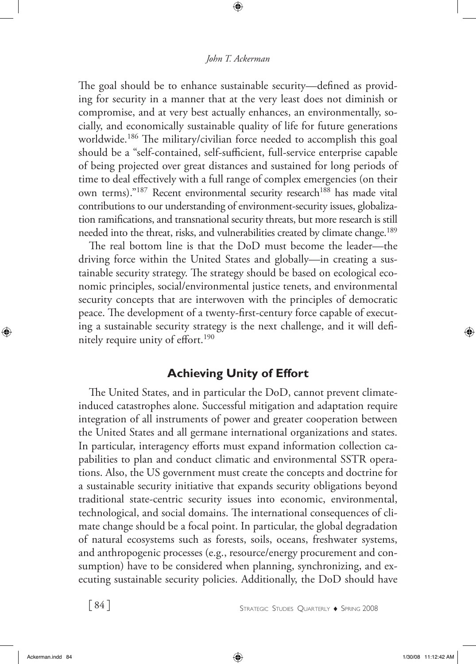The goal should be to enhance sustainable security—defined as providing for security in a manner that at the very least does not diminish or compromise, and at very best actually enhances, an environmentally, socially, and economically sustainable quality of life for future generations worldwide.<sup>186</sup> The military/civilian force needed to accomplish this goal should be a "self-contained, self-sufficient, full-service enterprise capable of being projected over great distances and sustained for long periods of time to deal effectively with a full range of complex emergencies (on their own terms)."<sup>187</sup> Recent environmental security research<sup>188</sup> has made vital contributions to our understanding of environment-security issues, globalization ramifications, and transnational security threats, but more research is still needed into the threat, risks, and vulnerabilities created by climate change.<sup>189</sup>

The real bottom line is that the DoD must become the leader—the driving force within the United States and globally—in creating a sustainable security strategy. The strategy should be based on ecological economic principles, social/environmental justice tenets, and environmental security concepts that are interwoven with the principles of democratic peace. The development of a twenty-first-century force capable of executing a sustainable security strategy is the next challenge, and it will definitely require unity of effort.<sup>190</sup>

## **Achieving Unity of Effort**

The United States, and in particular the DoD, cannot prevent climateinduced catastrophes alone. Successful mitigation and adaptation require integration of all instruments of power and greater cooperation between the United States and all germane international organizations and states. In particular, interagency efforts must expand information collection capabilities to plan and conduct climatic and environmental SSTR operations. Also, the US government must create the concepts and doctrine for a sustainable security initiative that expands security obligations beyond traditional state-centric security issues into economic, environmental, technological, and social domains. The international consequences of climate change should be a focal point. In particular, the global degradation of natural ecosystems such as forests, soils, oceans, freshwater systems, and anthropogenic processes (e.g., resource/energy procurement and consumption) have to be considered when planning, synchronizing, and executing sustainable security policies. Additionally, the DoD should have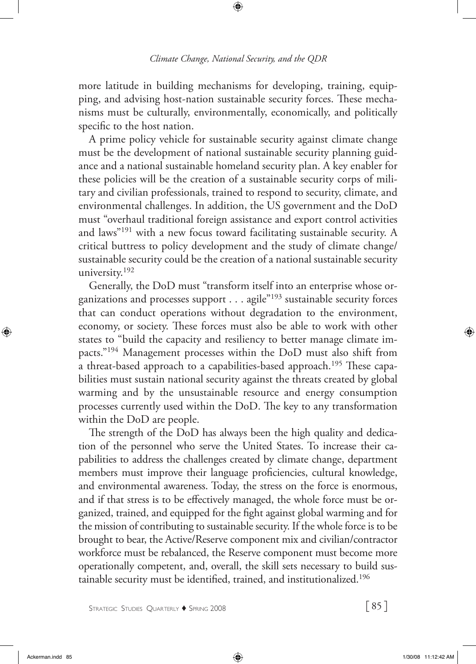more latitude in building mechanisms for developing, training, equipping, and advising host-nation sustainable security forces. These mechanisms must be culturally, environmentally, economically, and politically specific to the host nation.

A prime policy vehicle for sustainable security against climate change must be the development of national sustainable security planning guidance and a national sustainable homeland security plan. A key enabler for these policies will be the creation of a sustainable security corps of military and civilian professionals, trained to respond to security, climate, and environmental challenges. In addition, the US government and the DoD must "overhaul traditional foreign assistance and export control activities and laws"191 with a new focus toward facilitating sustainable security. A critical buttress to policy development and the study of climate change/ sustainable security could be the creation of a national sustainable security university.<sup>192</sup>

Generally, the DoD must "transform itself into an enterprise whose organizations and processes support . . . agile"193 sustainable security forces that can conduct operations without degradation to the environment, economy, or society. These forces must also be able to work with other states to "build the capacity and resiliency to better manage climate impacts."194 Management processes within the DoD must also shift from a threat-based approach to a capabilities-based approach.<sup>195</sup> These capabilities must sustain national security against the threats created by global warming and by the unsustainable resource and energy consumption processes currently used within the DoD. The key to any transformation within the DoD are people.

The strength of the DoD has always been the high quality and dedication of the personnel who serve the United States. To increase their capabilities to address the challenges created by climate change, department members must improve their language proficiencies, cultural knowledge, and environmental awareness. Today, the stress on the force is enormous, and if that stress is to be effectively managed, the whole force must be organized, trained, and equipped for the fight against global warming and for the mission of contributing to sustainable security. If the whole force is to be brought to bear, the Active/Reserve component mix and civilian/contractor workforce must be rebalanced, the Reserve component must become more operationally competent, and, overall, the skill sets necessary to build sustainable security must be identified, trained, and institutionalized.196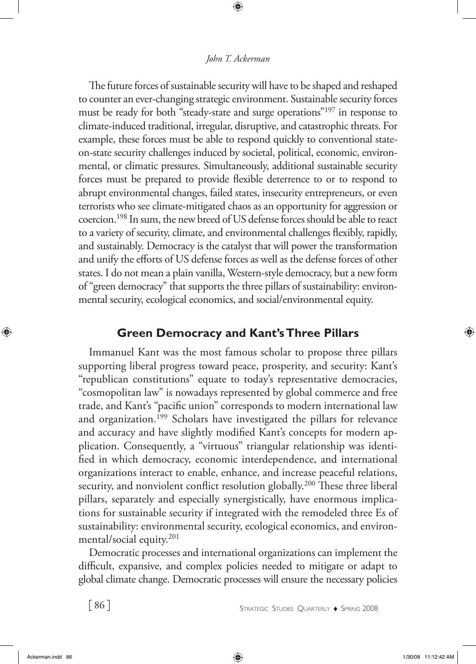### *John T. Ackerman*

The future forces of sustainable security will have to be shaped and reshaped to counter an ever-changing strategic environment. Sustainable security forces must be ready for both "steady-state and surge operations"197 in response to climate-induced traditional, irregular, disruptive, and catastrophic threats. For example, these forces must be able to respond quickly to conventional stateon-state security challenges induced by societal, political, economic, environmental, or climatic pressures. Simultaneously, additional sustainable security forces must be prepared to provide flexible deterrence to or to respond to abrupt environmental changes, failed states, insecurity entrepreneurs, or even terrorists who see climate-mitigated chaos as an opportunity for aggression or coercion.198 In sum, the new breed of US defense forces should be able to react to a variety of security, climate, and environmental challenges flexibly, rapidly, and sustainably. Democracy is the catalyst that will power the transformation and unify the efforts of US defense forces as well as the defense forces of other states. I do not mean a plain vanilla, Western-style democracy, but a new form of "green democracy" that supports the three pillars of sustainability: environmental security, ecological economics, and social/environmental equity.

## **Green Democracy and Kant's Three Pillars**

Immanuel Kant was the most famous scholar to propose three pillars supporting liberal progress toward peace, prosperity, and security: Kant's "republican constitutions" equate to today's representative democracies, "cosmopolitan law" is nowadays represented by global commerce and free trade, and Kant's "pacific union" corresponds to modern international law and organization.199 Scholars have investigated the pillars for relevance and accuracy and have slightly modified Kant's concepts for modern application. Consequently, a "virtuous" triangular relationship was identified in which democracy, economic interdependence, and international organizations interact to enable, enhance, and increase peaceful relations, security, and nonviolent conflict resolution globally.<sup>200</sup> These three liberal pillars, separately and especially synergistically, have enormous implications for sustainable security if integrated with the remodeled three Es of sustainability: environmental security, ecological economics, and environmental/social equity.201

Democratic processes and international organizations can implement the difficult, expansive, and complex policies needed to mitigate or adapt to global climate change. Democratic processes will ensure the necessary policies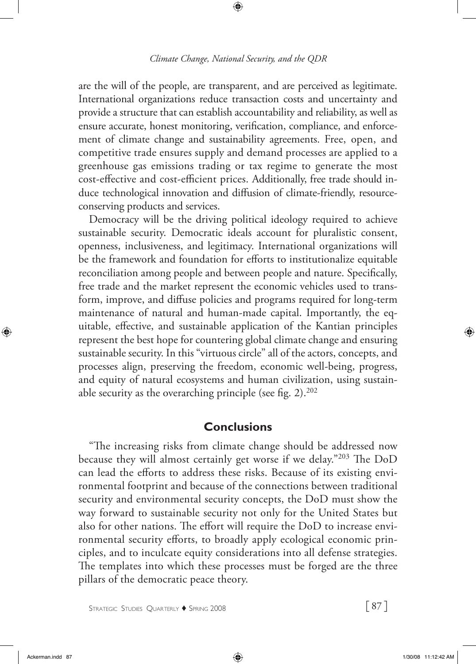are the will of the people, are transparent, and are perceived as legitimate. International organizations reduce transaction costs and uncertainty and provide a structure that can establish accountability and reliability, as well as ensure accurate, honest monitoring, verification, compliance, and enforcement of climate change and sustainability agreements. Free, open, and competitive trade ensures supply and demand processes are applied to a greenhouse gas emissions trading or tax regime to generate the most cost-effective and cost-efficient prices. Additionally, free trade should induce technological innovation and diffusion of climate-friendly, resourceconserving products and services.

Democracy will be the driving political ideology required to achieve sustainable security. Democratic ideals account for pluralistic consent, openness, inclusiveness, and legitimacy. International organizations will be the framework and foundation for efforts to institutionalize equitable reconciliation among people and between people and nature. Specifically, free trade and the market represent the economic vehicles used to transform, improve, and diffuse policies and programs required for long-term maintenance of natural and human-made capital. Importantly, the equitable, effective, and sustainable application of the Kantian principles represent the best hope for countering global climate change and ensuring sustainable security. In this "virtuous circle" all of the actors, concepts, and processes align, preserving the freedom, economic well-being, progress, and equity of natural ecosystems and human civilization, using sustainable security as the overarching principle (see fig.  $2$ ).<sup>202</sup>

### **Conclusions**

"The increasing risks from climate change should be addressed now because they will almost certainly get worse if we delay."203 The DoD can lead the efforts to address these risks. Because of its existing environmental footprint and because of the connections between traditional security and environmental security concepts, the DoD must show the way forward to sustainable security not only for the United States but also for other nations. The effort will require the DoD to increase environmental security efforts, to broadly apply ecological economic principles, and to inculcate equity considerations into all defense strategies. The templates into which these processes must be forged are the three pillars of the democratic peace theory.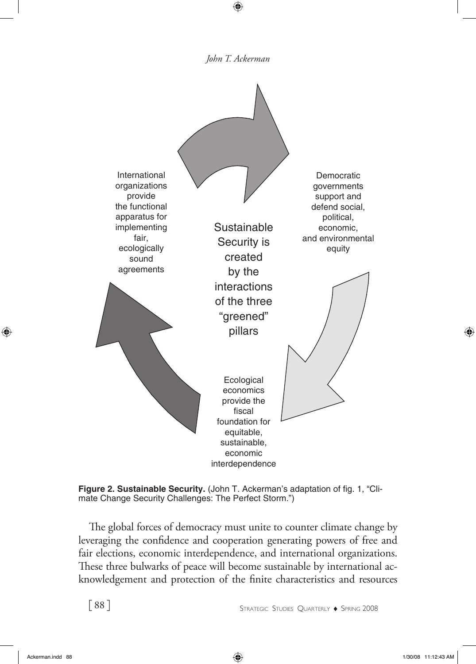*John T. Ackerman*



**Figure 2. Sustainable Security.** (John T. Ackerman's adaptation of fig. 1, "Climate Change Security Challenges: The Perfect Storm.")

The global forces of democracy must unite to counter climate change by leveraging the confidence and cooperation generating powers of free and fair elections, economic interdependence, and international organizations. These three bulwarks of peace will become sustainable by international acknowledgement and protection of the finite characteristics and resources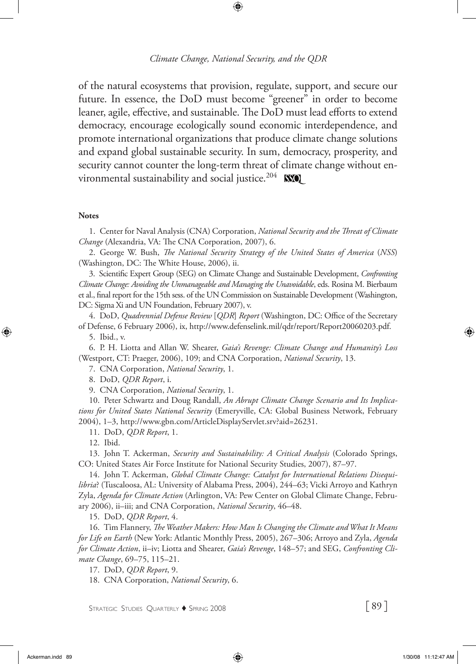of the natural ecosystems that provision, regulate, support, and secure our future. In essence, the DoD must become "greener" in order to become leaner, agile, effective, and sustainable. The DoD must lead efforts to extend democracy, encourage ecologically sound economic interdependence, and promote international organizations that produce climate change solutions and expand global sustainable security. In sum, democracy, prosperity, and security cannot counter the long-term threat of climate change without environmental sustainability and social justice.<sup>204</sup> **NSO** 

#### **Notes**

1. Center for Naval Analysis (CNA) Corporation, *National Security and the Threat of Climate Change* (Alexandria, VA: The CNA Corporation, 2007), 6.

2. George W. Bush, *The National Security Strategy of the United States of America* (*NSS*) (Washington, DC: The White House, 2006), ii.

3. Scientific Expert Group (SEG) on Climate Change and Sustainable Development, *Confronting Climate Change: Avoiding the Unmanageable and Managing the Unavoidable*, eds. Rosina M. Bierbaum et al., final report for the 15th sess. of the UN Commission on Sustainable Development (Washington, DC: Sigma Xi and UN Foundation, February 2007), v.

4. DoD, *Quadrennial Defense Review* [*QDR*] *Report* (Washington, DC: Office of the Secretary of Defense, 6 February 2006), ix, http://www.defenselink.mil/qdr/report/Report20060203.pdf.

5. Ibid., v.

6. P. H. Liotta and Allan W. Shearer, *Gaia's Revenge: Climate Change and Humanity's Loss* (Westport, CT: Praeger, 2006), 109; and CNA Corporation, *National Security*, 13.

7. CNA Corporation, *National Security*, 1.

8. DoD, *QDR Report*, i.

9. CNA Corporation, *National Security*, 1.

10. Peter Schwartz and Doug Randall, *An Abrupt Climate Change Scenario and Its Implications for United States National Security* (Emeryville, CA: Global Business Network, February 2004), 1–3, http://www.gbn.com/ArticleDisplayServlet.srv?aid=26231.

11. DoD, *QDR Report*, 1.

12. Ibid.

13. John T. Ackerman, *Security and Sustainability: A Critical Analysis* (Colorado Springs, CO: United States Air Force Institute for National Security Studies, 2007), 87–97.

14. John T. Ackerman, *Global Climate Change: Catalyst for International Relations Disequilibria*? (Tuscaloosa, AL: University of Alabama Press, 2004), 244–63; Vicki Arroyo and Kathryn Zyla, *Agenda for Climate Action* (Arlington, VA: Pew Center on Global Climate Change, February 2006), ii–iii; and CNA Corporation, *National Security*, 46–48.

15. DoD, *QDR Report*, 4.

16. Tim Flannery, *The Weather Makers: How Man Is Changing the Climate and What It Means for Life on Earth* (New York: Atlantic Monthly Press, 2005), 267–306; Arroyo and Zyla, *Agenda for Climate Action*, ii–iv; Liotta and Shearer, *Gaia's Revenge*, 148–57; and SEG, *Confronting Climate Change*, 69–75, 115–21.

17. DoD, *QDR Report*, 9.

18. CNA Corporation, *National Security*, 6.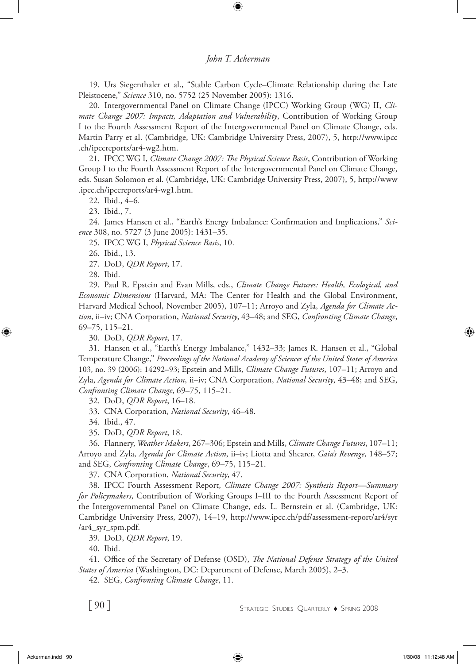#### *John T. Ackerman*

19. Urs Siegenthaler et al., "Stable Carbon Cycle–Climate Relationship during the Late Pleistocene," *Science* 310, no. 5752 (25 November 2005): 1316.

20. Intergovernmental Panel on Climate Change (IPCC) Working Group (WG) II, *Climate Change 2007: Impacts, Adaptation and Vulnerability*, Contribution of Working Group I to the Fourth Assessment Report of the Intergovernmental Panel on Climate Change, eds. Martin Parry et al. (Cambridge, UK: Cambridge University Press, 2007), 5, http://www.ipcc .ch/ipccreports/ar4-wg2.htm.

21. IPCC WG I, *Climate Change 2007: The Physical Science Basis*, Contribution of Working Group I to the Fourth Assessment Report of the Intergovernmental Panel on Climate Change, eds. Susan Solomon et al. (Cambridge, UK: Cambridge University Press, 2007), 5, http://www .ipcc.ch/ipccreports/ar4-wg1.htm.

22. Ibid., 4–6.

23. Ibid., 7.

24. James Hansen et al., "Earth's Energy Imbalance: Confirmation and Implications," *Science* 308, no. 5727 (3 June 2005): 1431–35.

25. IPCC WG I, *Physical Science Basis*, 10.

26. Ibid., 13.

27. DoD, *QDR Report*, 17.

28. Ibid.

29. Paul R. Epstein and Evan Mills, eds., *Climate Change Futures: Health, Ecological, and Economic Dimensions* (Harvard, MA: The Center for Health and the Global Environment, Harvard Medical School, November 2005), 107–11; Arroyo and Zyla, *Agenda for Climate Action*, ii–iv; CNA Corporation, *National Security*, 43–48; and SEG, *Confronting Climate Change*, 69–75, 115–21.

30. DoD, *QDR Report*, 17.

31. Hansen et al., "Earth's Energy Imbalance," 1432–33; James R. Hansen et al., "Global Temperature Change," *Proceedings of the National Academy of Sciences of the United States of America* 103, no. 39 (2006): 14292–93; Epstein and Mills, *Climate Change Futures*, 107–11; Arroyo and Zyla, *Agenda for Climate Action*, ii–iv; CNA Corporation, *National Security*, 43–48; and SEG, *Confronting Climate Change*, 69–75, 115–21.

32. DoD, *QDR Report*, 16–18.

33. CNA Corporation, *National Security*, 46–48.

34. Ibid., 47.

35. DoD, *QDR Report*, 18.

36. Flannery, *Weather Makers*, 267–306; Epstein and Mills, *Climate Change Futures*, 107–11; Arroyo and Zyla, *Agenda for Climate Action*, ii–iv; Liotta and Shearer, *Gaia's Revenge*, 148–57; and SEG, *Confronting Climate Change*, 69–75, 115–21.

37. CNA Corporation, *National Security*, 47.

38. IPCC Fourth Assessment Report, *Climate Change 2007: Synthesis Report—Summary for Policymakers*, Contribution of Working Groups I–III to the Fourth Assessment Report of the Intergovernmental Panel on Climate Change, eds. L. Bernstein et al. (Cambridge, UK: Cambridge University Press, 2007), 14–19, http://www.ipcc.ch/pdf/assessment-report/ar4/syr /ar4\_syr\_spm.pdf.

39. DoD, *QDR Report*, 19.

40. Ibid.

41. Office of the Secretary of Defense (OSD), *The National Defense Strategy of the United States of America* (Washington, DC: Department of Defense, March 2005), 2–3.

42. SEG, *Confronting Climate Change*, 11.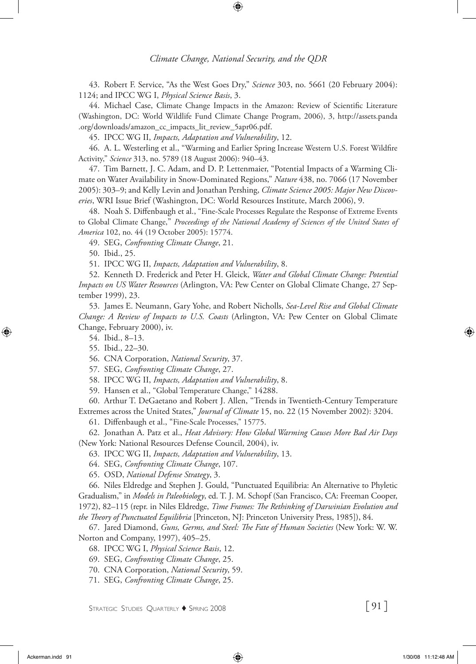43. Robert F. Service, "As the West Goes Dry," *Science* 303, no. 5661 (20 February 2004): 1124; and IPCC WG I, *Physical Science Basis*, 3.

44. Michael Case, Climate Change Impacts in the Amazon: Review of Scientific Literature (Washington, DC: World Wildlife Fund Climate Change Program, 2006), 3, http://assets.panda .org/downloads/amazon\_cc\_impacts\_lit\_review\_5apr06.pdf.

45. IPCC WG II, *Impacts, Adaptation and Vulnerability*, 12.

46. A. L. Westerling et al., "Warming and Earlier Spring Increase Western U.S. Forest Wildfire Activity," *Science* 313, no. 5789 (18 August 2006): 940–43.

47. Tim Barnett, J. C. Adam, and D. P. Lettenmaier, "Potential Impacts of a Warming Climate on Water Availability in Snow-Dominated Regions," *Nature* 438, no. 7066 (17 November 2005): 303–9; and Kelly Levin and Jonathan Pershing, *Climate Science 2005: Major New Discoveries*, WRI Issue Brief (Washington, DC: World Resources Institute, March 2006), 9.

48. Noah S. Diffenbaugh et al., "Fine-Scale Processes Regulate the Response of Extreme Events to Global Climate Change," *Proceedings of the National Academy of Sciences of the United States of America* 102, no. 44 (19 October 2005): 15774.

49. SEG, *Confronting Climate Change*, 21.

50. Ibid., 25.

51. IPCC WG II, *Impacts, Adaptation and Vulnerability*, 8.

52. Kenneth D. Frederick and Peter H. Gleick, *Water and Global Climate Change: Potential Impacts on US Water Resources* (Arlington, VA: Pew Center on Global Climate Change, 27 September 1999), 23.

53. James E. Neumann, Gary Yohe, and Robert Nicholls, *Sea-Level Rise and Global Climate Change: A Review of Impacts to U.S. Coasts* (Arlington, VA: Pew Center on Global Climate Change, February 2000), iv.

54. Ibid., 8–13.

55. Ibid., 22–30.

56. CNA Corporation, *National Security*, 37.

57. SEG, *Confronting Climate Change*, 27.

58. IPCC WG II, *Impacts, Adaptation and Vulnerability*, 8.

59. Hansen et al., "Global Temperature Change," 14288.

60. Arthur T. DeGaetano and Robert J. Allen, "Trends in Twentieth-Century Temperature Extremes across the United States," *Journal of Climate* 15, no. 22 (15 November 2002): 3204.

61. Diffenbaugh et al., "Fine-Scale Processes," 15775.

62. Jonathan A. Patz et al., *Heat Advisory: How Global Warming Causes More Bad Air Days* (New York: National Resources Defense Council, 2004), iv.

63. IPCC WG II, *Impacts, Adaptation and Vulnerability*, 13.

64. SEG, *Confronting Climate Change*, 107.

65. OSD, *National Defense Strategy*, 3.

66. Niles Eldredge and Stephen J. Gould, "Punctuated Equilibria: An Alternative to Phyletic Gradualism," in *Models in Paleobiology*, ed. T. J. M. Schopf (San Francisco, CA: Freeman Cooper, 1972), 82–115 (repr. in Niles Eldredge, *Time Frames: The Rethinking of Darwinian Evolution and the Theory of Punctuated Equilibria* [Princeton, NJ: Princeton University Press, 1985]), 84.

67. Jared Diamond, *Guns, Germs, and Steel: The Fate of Human Societies* (New York: W. W. Norton and Company, 1997), 405–25.

68. IPCC WG I, *Physical Science Basis*, 12.

69. SEG, *Confronting Climate Change*, 25.

70. CNA Corporation, *National Security*, 59.

71. SEG, *Confronting Climate Change*, 25.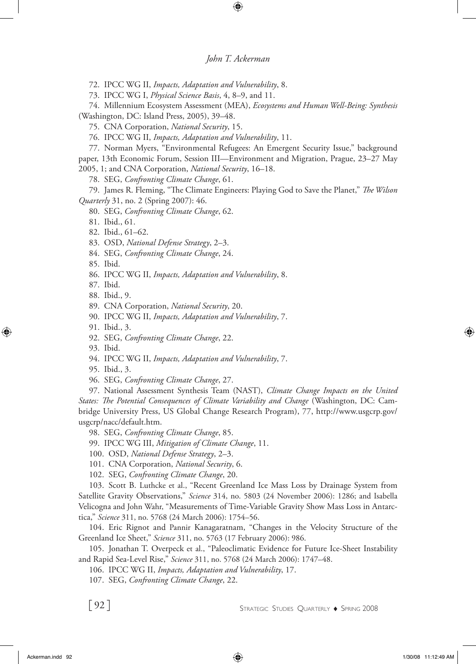72. IPCC WG II, *Impacts, Adaptation and Vulnerability*, 8.

73. IPCC WG I, *Physical Science Basis*, 4, 8–9, and 11.

74. Millennium Ecosystem Assessment (MEA), *Ecosystems and Human Well-Being: Synthesis* (Washington, DC: Island Press, 2005), 39–48.

75. CNA Corporation, *National Security*, 15.

76. IPCC WG II, *Impacts, Adaptation and Vulnerability*, 11.

77. Norman Myers, "Environmental Refugees: An Emergent Security Issue," background paper, 13th Economic Forum, Session III—Environment and Migration, Prague, 23–27 May 2005, 1; and CNA Corporation, *National Security*, 16–18.

78. SEG, *Confronting Climate Change*, 61.

79. James R. Fleming, "The Climate Engineers: Playing God to Save the Planet," *The Wilson Quarterly* 31, no. 2 (Spring 2007): 46.

80. SEG, *Confronting Climate Change*, 62.

81. Ibid., 61.

82. Ibid., 61–62.

83. OSD, *National Defense Strategy*, 2–3.

84. SEG, *Confronting Climate Change*, 24.

85. Ibid.

86. IPCC WG II, *Impacts, Adaptation and Vulnerability*, 8.

87. Ibid.

88. Ibid., 9.

89. CNA Corporation, *National Security*, 20.

90. IPCC WG II, *Impacts, Adaptation and Vulnerability*, 7.

91. Ibid., 3.

92. SEG, *Confronting Climate Change*, 22.

93. Ibid.

94. IPCC WG II, *Impacts, Adaptation and Vulnerability*, 7.

95. Ibid., 3.

96. SEG, *Confronting Climate Change*, 27.

97. National Assessment Synthesis Team (NAST), *Climate Change Impacts on the United States: The Potential Consequences of Climate Variability and Change* (Washington, DC: Cambridge University Press, US Global Change Research Program), 77, http://www.usgcrp.gov/ usgcrp/nacc/default.htm.

98. SEG, *Confronting Climate Change*, 85.

99. IPCC WG III, *Mitigation of Climate Change*, 11.

100. OSD, *National Defense Strategy*, 2–3.

101. CNA Corporation, *National Security*, 6.

102. SEG, *Confronting Climate Change*, 20.

103. Scott B. Luthcke et al., "Recent Greenland Ice Mass Loss by Drainage System from Satellite Gravity Observations," *Science* 314, no. 5803 (24 November 2006): 1286; and Isabella Velicogna and John Wahr, "Measurements of Time-Variable Gravity Show Mass Loss in Antarctica," *Science* 311, no. 5768 (24 March 2006): 1754–56.

104. Eric Rignot and Pannir Kanagaratnam, "Changes in the Velocity Structure of the Greenland Ice Sheet," *Science* 311, no. 5763 (17 February 2006): 986.

105. Jonathan T. Overpeck et al., "Paleoclimatic Evidence for Future Ice-Sheet Instability and Rapid Sea-Level Rise," *Science* 311, no. 5768 (24 March 2006): 1747–48.

106. IPCC WG II, *Impacts, Adaptation and Vulnerability*, 17.

107. SEG, *Confronting Climate Change*, 22.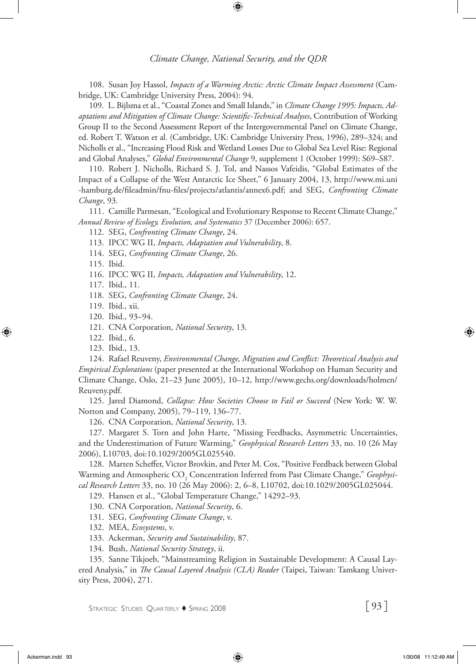108. Susan Joy Hassol, *Impacts of a Warming Arctic: Arctic Climate Impact Assessment* (Cambridge, UK: Cambridge University Press, 2004): 94.

109. L. Bijlsma et al., "Coastal Zones and Small Islands," in *Climate Change 1995: Impacts, Adaptations and Mitigation of Climate Change: Scientific-Technical Analyses*, Contribution of Working Group II to the Second Assessment Report of the Intergovernmental Panel on Climate Change, ed. Robert T. Watson et al. (Cambridge, UK: Cambridge University Press, 1996), 289–324; and Nicholls et al., "Increasing Flood Risk and Wetland Losses Due to Global Sea Level Rise: Regional and Global Analyses," *Global Environmental Change* 9, supplement 1 (October 1999): S69–S87.

110. Robert J. Nicholls, Richard S. J. Tol, and Nassos Vafeidis, "Global Estimates of the Impact of a Collapse of the West Antarctic Ice Sheet," 6 January 2004, 13, http://www.mi.uni -hamburg.de/fileadmin/fnu-files/projects/atlantis/annex6.pdf; and SEG, *Confronting Climate Change*, 93.

111. Camille Parmesan, "Ecological and Evolutionary Response to Recent Climate Change," *Annual Review of Ecology, Evolution, and Systematics* 37 (December 2006): 657.

112. SEG, *Confronting Climate Change*, 24.

113. IPCC WG II, *Impacts, Adaptation and Vulnerability*, 8.

114. SEG, *Confronting Climate Change*, 26.

115. Ibid.

116. IPCC WG II, *Impacts, Adaptation and Vulnerability*, 12.

117. Ibid., 11.

118. SEG, *Confronting Climate Change*, 24.

119. Ibid., xii.

120. Ibid., 93–94.

121. CNA Corporation, *National Security*, 13.

122. Ibid., 6.

123. Ibid., 13.

124. Rafael Reuveny, *Environmental Change, Migration and Conflict: Theoretical Analysis and Empirical Explorations* (paper presented at the International Workshop on Human Security and Climate Change, Oslo, 21–23 June 2005), 10–12, http://www.gechs.org/downloads/holmen/ Reuveny.pdf.

125. Jared Diamond, *Collapse: How Societies Choose to Fail or Succeed* (New York: W. W. Norton and Company, 2005), 79–119, 136–77.

126. CNA Corporation, *National Security*, 13.

127. Margaret S. Torn and John Harte, "Missing Feedbacks, Asymmetric Uncertainties, and the Underestimation of Future Warming," *Geophysical Research Letters* 33, no. 10 (26 May 2006), L10703, doi:10.1029/2005GL025540.

128. Marten Scheffer, Victor Brovkin, and Peter M. Cox, "Positive Feedback between Global Warming and Atmospheric CO<sub>2</sub> Concentration Inferred from Past Climate Change," *Geophysical Research Letters* 33, no. 10 (26 May 2006): 2, 6–8, L10702, doi:10.1029/2005GL025044.

129. Hansen et al., "Global Temperature Change," 14292–93.

130. CNA Corporation, *National Security*, 6.

131. SEG, *Confronting Climate Change*, v.

132. MEA, *Ecosystems*, v.

133. Ackerman, *Security and Sustainability*, 87.

134. Bush, *National Security Strategy*, ii.

135. Sanne Tikjoeb, "Mainstreaming Religion in Sustainable Development: A Causal Layered Analysis," in *The Causal Layered Analysis (CLA) Reader* (Taipei, Taiwan: Tamkang University Press, 2004), 271.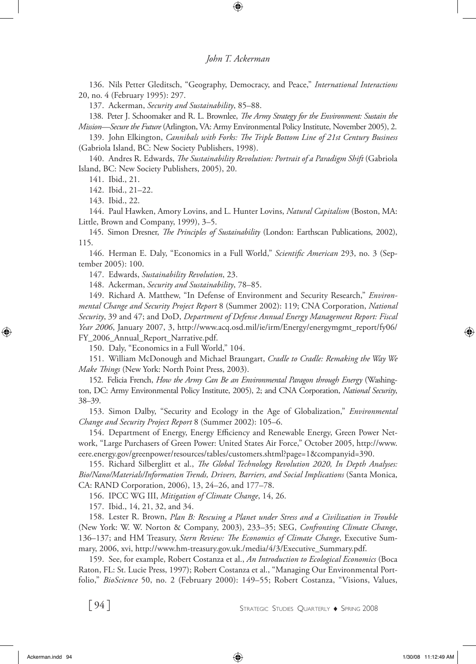136. Nils Petter Gleditsch, "Geography, Democracy, and Peace," *International Interactions* 20, no. 4 (February 1995): 297.

137. Ackerman, *Security and Sustainability*, 85–88.

138. Peter J. Schoomaker and R. L. Brownlee, *The Army Strategy for the Environment: Sustain the Mission—Secure the Future* (Arlington, VA: Army Environmental Policy Institute, November 2005), 2.

139. John Elkington, *Cannibals with Forks: The Triple Bottom Line of 21st Century Business*  (Gabriola Island, BC: New Society Publishers, 1998).

140. Andres R. Edwards, *The Sustainability Revolution: Portrait of a Paradigm Shift* (Gabriola Island, BC: New Society Publishers, 2005), 20.

141. Ibid., 21.

142. Ibid., 21–22.

143. Ibid., 22.

144. Paul Hawken, Amory Lovins, and L. Hunter Lovins, *Natural Capitalism* (Boston, MA: Little, Brown and Company, 1999), 3–5.

145. Simon Dresner, *The Principles of Sustainability* (London: Earthscan Publications, 2002), 115.

146. Herman E. Daly, "Economics in a Full World," *Scientific American* 293, no. 3 (September 2005): 100.

147. Edwards, *Sustainability Revolution*, 23.

148. Ackerman, *Security and Sustainability*, 78–85.

149. Richard A. Matthew, "In Defense of Environment and Security Research," *Environmental Change and Security Project Report* 8 (Summer 2002): 119; CNA Corporation, *National Security*, 39 and 47; and DoD, *Department of Defense Annual Energy Management Report: Fiscal Year 2006*, January 2007, 3, http://www.acq.osd.mil/ie/irm/Energy/energymgmt\_report/fy06/ FY\_2006\_Annual\_Report\_Narrative.pdf.

150. Daly, "Economics in a Full World," 104.

151. William McDonough and Michael Braungart, *Cradle to Cradle: Remaking the Way We Make Things* (New York: North Point Press, 2003).

152. Felicia French, *How the Army Can Be an Environmental Paragon through Energy* (Washington, DC: Army Environmental Policy Institute, 2005), 2; and CNA Corporation, *National Security*, 38–39.

153. Simon Dalby, "Security and Ecology in the Age of Globalization," *Environmental Change and Security Project Report* 8 (Summer 2002): 105–6.

154. Department of Energy, Energy Efficiency and Renewable Energy, Green Power Network, "Large Purchasers of Green Power: United States Air Force," October 2005, http://www. eere.energy.gov/greenpower/resources/tables/customers.shtml?page=1&companyid=390.

155. Richard Silberglitt et al., *The Global Technology Revolution 2020, In Depth Analyses: Bio/Nano/Materials/Information Trends, Drivers, Barriers, and Social Implications* (Santa Monica, CA: RAND Corporation, 2006), 13, 24–26, and 177–78.

156. IPCC WG III, *Mitigation of Climate Change*, 14, 26.

157. Ibid., 14, 21, 32, and 34.

158. Lester R. Brown, *Plan B: Rescuing a Planet under Stress and a Civilization in Trouble*  (New York: W. W. Norton & Company, 2003), 233–35; SEG, *Confronting Climate Change*, 136–137; and HM Treasury, *Stern Review: The Economics of Climate Change*, Executive Summary, 2006, xvi, http://www.hm-treasury.gov.uk./media/4/3/Executive\_Summary.pdf.

159. See, for example, Robert Costanza et al., *An Introduction to Ecological Economics* (Boca Raton, FL: St. Lucie Press, 1997); Robert Costanza et al., "Managing Our Environmental Portfolio," *BioScience* 50, no. 2 (February 2000): 149–55; Robert Costanza, "Visions, Values,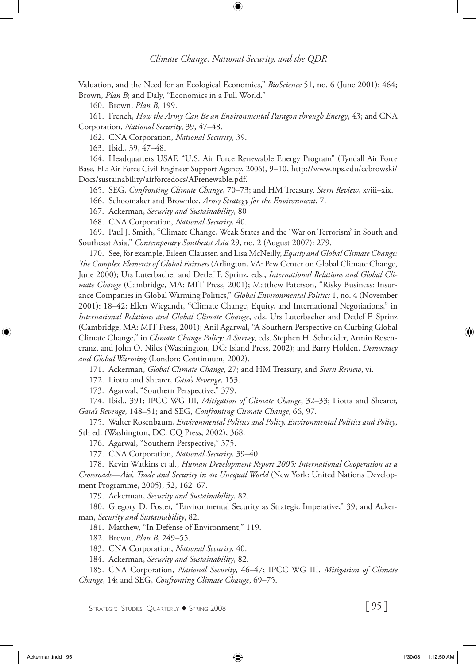Valuation, and the Need for an Ecological Economics," *BioScience* 51, no. 6 (June 2001): 464; Brown, *Plan B*; and Daly, "Economics in a Full World."

160. Brown, *Plan B*, 199.

161. French, *How the Army Can Be an Environmental Paragon through Energy*, 43; and CNA Corporation, *National Security*, 39, 47–48.

162. CNA Corporation, *National Security*, 39.

163. Ibid., 39, 47–48.

164. Headquarters USAF, "U.S. Air Force Renewable Energy Program" (Tyndall Air Force Base, FL: Air Force Civil Engineer Support Agency, 2006), 9–10, http://www.nps.edu/cebrowski/ Docs/sustainability/airforcedocs/AFrenewable.pdf.

165. SEG, *Confronting Climate Change*, 70–73; and HM Treasury, *Stern Review*, xviii–xix.

166. Schoomaker and Brownlee, *Army Strategy for the Environment*, 7.

167. Ackerman, *Security and Sustainability*, 80

168. CNA Corporation, *National Security*, 40.

169. Paul J. Smith, "Climate Change, Weak States and the 'War on Terrorism' in South and Southeast Asia," *Contemporary Southeast Asia* 29, no. 2 (August 2007): 279.

170. See, for example, Eileen Claussen and Lisa McNeilly, *Equity and Global Climate Change: The Complex Elements of Global Fairness* (Arlington, VA: Pew Center on Global Climate Change, June 2000); Urs Luterbacher and Detlef F. Sprinz, eds., *International Relations and Global Climate Change* (Cambridge, MA: MIT Press, 2001); Matthew Paterson, "Risky Business: Insurance Companies in Global Warming Politics," *Global Environmental Politics* 1, no. 4 (November 2001): 18–42; Ellen Wiegandt, "Climate Change, Equity, and International Negotiations," in *International Relations and Global Climate Change*, eds. Urs Luterbacher and Detlef F. Sprinz (Cambridge, MA: MIT Press, 2001); Anil Agarwal, "A Southern Perspective on Curbing Global Climate Change," in *Climate Change Policy: A Survey*, eds. Stephen H. Schneider, Armin Rosencranz, and John O. Niles (Washington, DC: Island Press, 2002); and Barry Holden, *Democracy and Global Warming* (London: Continuum, 2002).

171. Ackerman, *Global Climate Change*, 27; and HM Treasury, and *Stern Review*, vi.

172. Liotta and Shearer, *Gaia's Revenge*, 153.

173. Agarwal, "Southern Perspective," 379.

174. Ibid., 391; IPCC WG III, *Mitigation of Climate Change*, 32–33; Liotta and Shearer, *Gaia's Revenge*, 148–51; and SEG, *Confronting Climate Change*, 66, 97.

175. Walter Rosenbaum, *Environmental Politics and Policy, Environmental Politics and Policy*, 5th ed. (Washington, DC: CQ Press, 2002), 368.

176. Agarwal, "Southern Perspective," 375.

177. CNA Corporation, *National Security*, 39–40.

178. Kevin Watkins et al., *Human Development Report 2005: International Cooperation at a Crossroads—Aid, Trade and Security in an Unequal World* (New York: United Nations Development Programme, 2005), 52, 162–67.

179. Ackerman, *Security and Sustainability*, 82.

180. Gregory D. Foster, "Environmental Security as Strategic Imperative," 39; and Ackerman, *Security and Sustainability*, 82.

181. Matthew, "In Defense of Environment," 119.

182. Brown, *Plan B*, 249–55.

183. CNA Corporation, *National Security*, 40.

184. Ackerman, *Security and Sustainability*, 82.

185. CNA Corporation, *National Security*, 46–47; IPCC WG III, *Mitigation of Climate Change*, 14; and SEG, *Confronting Climate Change*, 69–75.